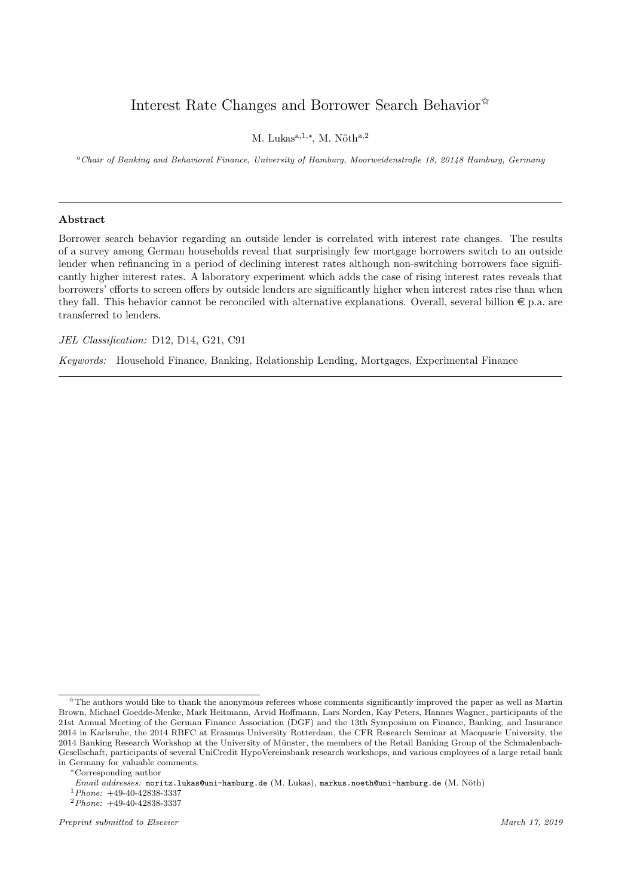# Interest Rate Changes and Borrower Search Behavior<sup>\*</sup>

M. Lukas<sup>a,1,\*</sup>, M. Nöth<sup>a,2</sup>

<sup>a</sup>Chair of Banking and Behavioral Finance, University of Hamburg, Moorweidenstraße 18, 20148 Hamburg, Germany

## Abstract

Borrower search behavior regarding an outside lender is correlated with interest rate changes. The results of a survey among German households reveal that surprisingly few mortgage borrowers switch to an outside lender when refinancing in a period of declining interest rates although non-switching borrowers face significantly higher interest rates. A laboratory experiment which adds the case of rising interest rates reveals that borrowers' efforts to screen offers by outside lenders are significantly higher when interest rates rise than when they fall. This behavior cannot be reconciled with alternative explanations. Overall, several billion  $\epsilon$  p.a. are transferred to lenders.

JEL Classification: D12, D14, G21, C91

Keywords: Household Finance, Banking, Relationship Lending, Mortgages, Experimental Finance

 $\hat{z}$ The authors would like to thank the anonymous referees whose comments significantly improved the paper as well as Martin Brown, Michael Goedde-Menke, Mark Heitmann, Arvid Hoffmann, Lars Norden, Kay Peters, Hannes Wagner, participants of the 21st Annual Meeting of the German Finance Association (DGF) and the 13th Symposium on Finance, Banking, and Insurance 2014 in Karlsruhe, the 2014 RBFC at Erasmus University Rotterdam, the CFR Research Seminar at Macquarie University, the 2014 Banking Research Workshop at the University of M¨unster, the members of the Retail Banking Group of the Schmalenbach-Gesellschaft, participants of several UniCredit HypoVereinsbank research workshops, and various employees of a large retail bank in Germany for valuable comments.

<sup>∗</sup>Corresponding author

Email addresses: moritz.lukas@uni-hamburg.de (M. Lukas), markus.noeth@uni-hamburg.de (M. Nöth)

 $1$  Phone:  $+49-40-42838-3337$ 

<sup>2</sup>Phone: +49-40-42838-3337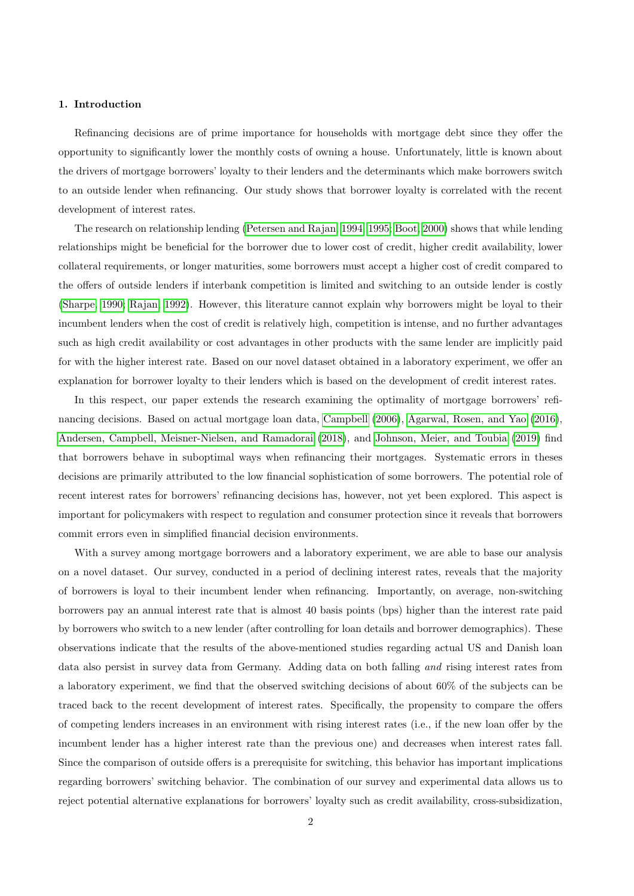## 1. Introduction

Refinancing decisions are of prime importance for households with mortgage debt since they offer the opportunity to significantly lower the monthly costs of owning a house. Unfortunately, little is known about the drivers of mortgage borrowers' loyalty to their lenders and the determinants which make borrowers switch to an outside lender when refinancing. Our study shows that borrower loyalty is correlated with the recent development of interest rates.

The research on relationship lending [\(Petersen and Rajan, 1994,](#page-25-0) [1995;](#page-25-1) [Boot, 2000\)](#page-25-2) shows that while lending relationships might be beneficial for the borrower due to lower cost of credit, higher credit availability, lower collateral requirements, or longer maturities, some borrowers must accept a higher cost of credit compared to the offers of outside lenders if interbank competition is limited and switching to an outside lender is costly [\(Sharpe, 1990;](#page-25-3) [Rajan, 1992\)](#page-25-4). However, this literature cannot explain why borrowers might be loyal to their incumbent lenders when the cost of credit is relatively high, competition is intense, and no further advantages such as high credit availability or cost advantages in other products with the same lender are implicitly paid for with the higher interest rate. Based on our novel dataset obtained in a laboratory experiment, we offer an explanation for borrower loyalty to their lenders which is based on the development of credit interest rates.

In this respect, our paper extends the research examining the optimality of mortgage borrowers' refinancing decisions. Based on actual mortgage loan data, [Campbell](#page-25-5) [\(2006\)](#page-25-5), [Agarwal, Rosen, and Yao](#page-25-6) [\(2016\)](#page-25-6), [Andersen, Campbell, Meisner-Nielsen, and Ramadorai](#page-25-7) [\(2018\)](#page-25-7), and [Johnson, Meier, and Toubia](#page-25-8) [\(2019\)](#page-25-8) find that borrowers behave in suboptimal ways when refinancing their mortgages. Systematic errors in theses decisions are primarily attributed to the low financial sophistication of some borrowers. The potential role of recent interest rates for borrowers' refinancing decisions has, however, not yet been explored. This aspect is important for policymakers with respect to regulation and consumer protection since it reveals that borrowers commit errors even in simplified financial decision environments.

With a survey among mortgage borrowers and a laboratory experiment, we are able to base our analysis on a novel dataset. Our survey, conducted in a period of declining interest rates, reveals that the majority of borrowers is loyal to their incumbent lender when refinancing. Importantly, on average, non-switching borrowers pay an annual interest rate that is almost 40 basis points (bps) higher than the interest rate paid by borrowers who switch to a new lender (after controlling for loan details and borrower demographics). These observations indicate that the results of the above-mentioned studies regarding actual US and Danish loan data also persist in survey data from Germany. Adding data on both falling and rising interest rates from a laboratory experiment, we find that the observed switching decisions of about 60% of the subjects can be traced back to the recent development of interest rates. Specifically, the propensity to compare the offers of competing lenders increases in an environment with rising interest rates (i.e., if the new loan offer by the incumbent lender has a higher interest rate than the previous one) and decreases when interest rates fall. Since the comparison of outside offers is a prerequisite for switching, this behavior has important implications regarding borrowers' switching behavior. The combination of our survey and experimental data allows us to reject potential alternative explanations for borrowers' loyalty such as credit availability, cross-subsidization,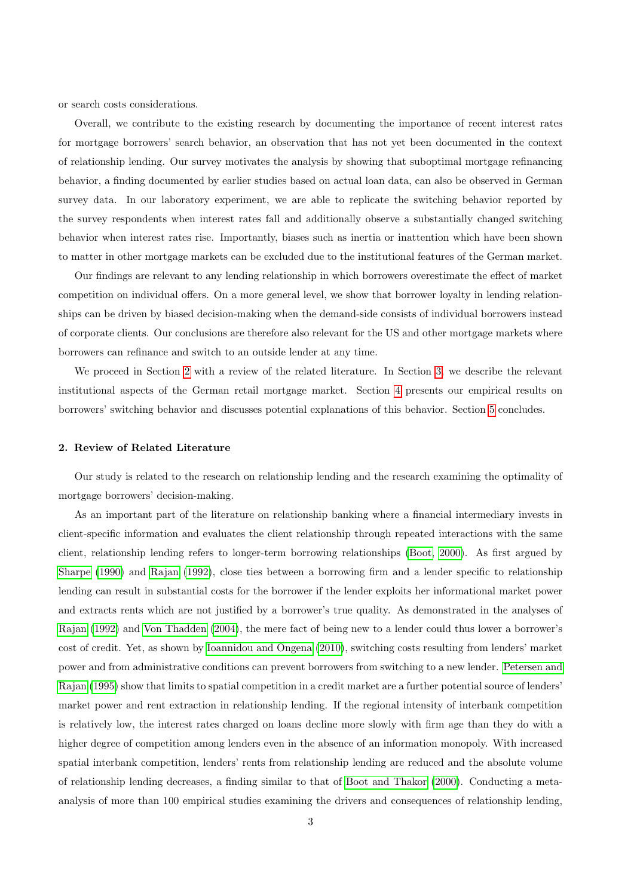or search costs considerations.

Overall, we contribute to the existing research by documenting the importance of recent interest rates for mortgage borrowers' search behavior, an observation that has not yet been documented in the context of relationship lending. Our survey motivates the analysis by showing that suboptimal mortgage refinancing behavior, a finding documented by earlier studies based on actual loan data, can also be observed in German survey data. In our laboratory experiment, we are able to replicate the switching behavior reported by the survey respondents when interest rates fall and additionally observe a substantially changed switching behavior when interest rates rise. Importantly, biases such as inertia or inattention which have been shown to matter in other mortgage markets can be excluded due to the institutional features of the German market.

Our findings are relevant to any lending relationship in which borrowers overestimate the effect of market competition on individual offers. On a more general level, we show that borrower loyalty in lending relationships can be driven by biased decision-making when the demand-side consists of individual borrowers instead of corporate clients. Our conclusions are therefore also relevant for the US and other mortgage markets where borrowers can refinance and switch to an outside lender at any time.

We proceed in Section [2](#page-2-0) with a review of the related literature. In Section [3,](#page-4-0) we describe the relevant institutional aspects of the German retail mortgage market. Section [4](#page-6-0) presents our empirical results on borrowers' switching behavior and discusses potential explanations of this behavior. Section [5](#page-23-0) concludes.

# <span id="page-2-0"></span>2. Review of Related Literature

Our study is related to the research on relationship lending and the research examining the optimality of mortgage borrowers' decision-making.

As an important part of the literature on relationship banking where a financial intermediary invests in client-specific information and evaluates the client relationship through repeated interactions with the same client, relationship lending refers to longer-term borrowing relationships [\(Boot, 2000\)](#page-25-2). As first argued by [Sharpe](#page-25-3) [\(1990\)](#page-25-3) and [Rajan](#page-25-4) [\(1992\)](#page-25-4), close ties between a borrowing firm and a lender specific to relationship lending can result in substantial costs for the borrower if the lender exploits her informational market power and extracts rents which are not justified by a borrower's true quality. As demonstrated in the analyses of [Rajan](#page-25-4) [\(1992\)](#page-25-4) and [Von Thadden](#page-26-0) [\(2004\)](#page-26-0), the mere fact of being new to a lender could thus lower a borrower's cost of credit. Yet, as shown by [Ioannidou and Ongena](#page-25-9) [\(2010\)](#page-25-9), switching costs resulting from lenders' market power and from administrative conditions can prevent borrowers from switching to a new lender. [Petersen and](#page-25-1) [Rajan](#page-25-1) [\(1995\)](#page-25-1) show that limits to spatial competition in a credit market are a further potential source of lenders' market power and rent extraction in relationship lending. If the regional intensity of interbank competition is relatively low, the interest rates charged on loans decline more slowly with firm age than they do with a higher degree of competition among lenders even in the absence of an information monopoly. With increased spatial interbank competition, lenders' rents from relationship lending are reduced and the absolute volume of relationship lending decreases, a finding similar to that of [Boot and Thakor](#page-25-10) [\(2000\)](#page-25-10). Conducting a metaanalysis of more than 100 empirical studies examining the drivers and consequences of relationship lending,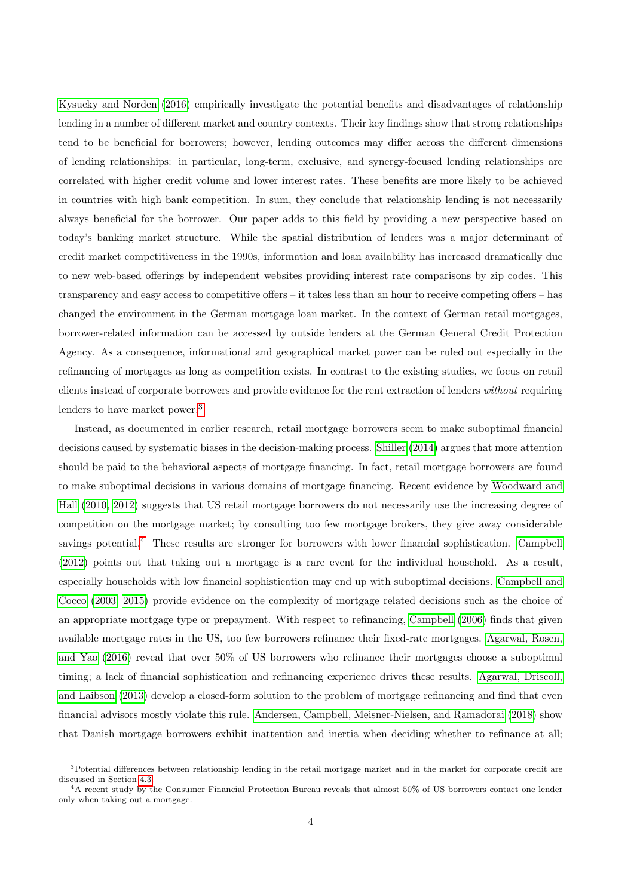[Kysucky and Norden](#page-25-11) [\(2016\)](#page-25-11) empirically investigate the potential benefits and disadvantages of relationship lending in a number of different market and country contexts. Their key findings show that strong relationships tend to be beneficial for borrowers; however, lending outcomes may differ across the different dimensions of lending relationships: in particular, long-term, exclusive, and synergy-focused lending relationships are correlated with higher credit volume and lower interest rates. These benefits are more likely to be achieved in countries with high bank competition. In sum, they conclude that relationship lending is not necessarily always beneficial for the borrower. Our paper adds to this field by providing a new perspective based on today's banking market structure. While the spatial distribution of lenders was a major determinant of credit market competitiveness in the 1990s, information and loan availability has increased dramatically due to new web-based offerings by independent websites providing interest rate comparisons by zip codes. This transparency and easy access to competitive offers – it takes less than an hour to receive competing offers – has changed the environment in the German mortgage loan market. In the context of German retail mortgages, borrower-related information can be accessed by outside lenders at the German General Credit Protection Agency. As a consequence, informational and geographical market power can be ruled out especially in the refinancing of mortgages as long as competition exists. In contrast to the existing studies, we focus on retail clients instead of corporate borrowers and provide evidence for the rent extraction of lenders without requiring lenders to have market power.<sup>[3](#page-3-0)</sup>

Instead, as documented in earlier research, retail mortgage borrowers seem to make suboptimal financial decisions caused by systematic biases in the decision-making process. [Shiller](#page-25-12) [\(2014\)](#page-25-12) argues that more attention should be paid to the behavioral aspects of mortgage financing. In fact, retail mortgage borrowers are found to make suboptimal decisions in various domains of mortgage financing. Recent evidence by [Woodward and](#page-26-1) [Hall](#page-26-1) [\(2010,](#page-26-1) [2012\)](#page-26-2) suggests that US retail mortgage borrowers do not necessarily use the increasing degree of competition on the mortgage market; by consulting too few mortgage brokers, they give away considerable savings potential.[4](#page-3-1) These results are stronger for borrowers with lower financial sophistication. [Campbell](#page-25-13) [\(2012\)](#page-25-13) points out that taking out a mortgage is a rare event for the individual household. As a result, especially households with low financial sophistication may end up with suboptimal decisions. [Campbell and](#page-25-14) [Cocco](#page-25-14) [\(2003,](#page-25-14) [2015\)](#page-25-15) provide evidence on the complexity of mortgage related decisions such as the choice of an appropriate mortgage type or prepayment. With respect to refinancing, [Campbell](#page-25-5) [\(2006\)](#page-25-5) finds that given available mortgage rates in the US, too few borrowers refinance their fixed-rate mortgages. [Agarwal, Rosen,](#page-25-6) [and Yao](#page-25-6) [\(2016\)](#page-25-6) reveal that over 50% of US borrowers who refinance their mortgages choose a suboptimal timing; a lack of financial sophistication and refinancing experience drives these results. [Agarwal, Driscoll,](#page-25-16) [and Laibson](#page-25-16) [\(2013\)](#page-25-16) develop a closed-form solution to the problem of mortgage refinancing and find that even financial advisors mostly violate this rule. [Andersen, Campbell, Meisner-Nielsen, and Ramadorai](#page-25-7) [\(2018\)](#page-25-7) show that Danish mortgage borrowers exhibit inattention and inertia when deciding whether to refinance at all;

<span id="page-3-0"></span> $3$ Potential differences between relationship lending in the retail mortgage market and in the market for corporate credit are discussed in Section [4.3.](#page-20-0)

<span id="page-3-1"></span><sup>4</sup>A recent study by the Consumer Financial Protection Bureau reveals that almost 50% of US borrowers contact one lender only when taking out a mortgage.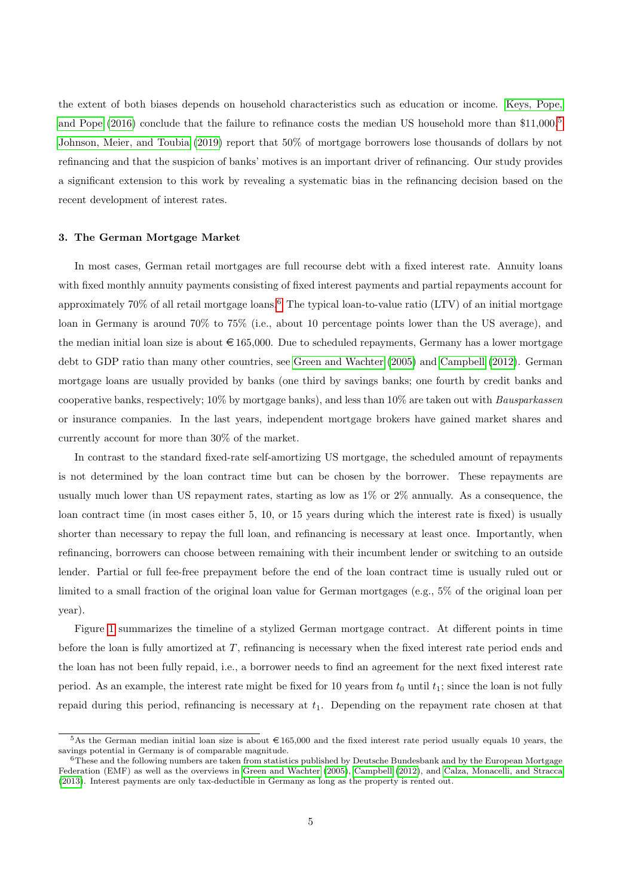the extent of both biases depends on household characteristics such as education or income. [Keys, Pope,](#page-25-17) [and Pope](#page-25-17) [\(2016\)](#page-25-17) conclude that the failure to refinance costs the median US household more than \$11,000.<sup>[5](#page-4-1)</sup> [Johnson, Meier, and Toubia](#page-25-8) [\(2019\)](#page-25-8) report that 50% of mortgage borrowers lose thousands of dollars by not refinancing and that the suspicion of banks' motives is an important driver of refinancing. Our study provides a significant extension to this work by revealing a systematic bias in the refinancing decision based on the recent development of interest rates.

#### <span id="page-4-0"></span>3. The German Mortgage Market

In most cases, German retail mortgages are full recourse debt with a fixed interest rate. Annuity loans with fixed monthly annuity payments consisting of fixed interest payments and partial repayments account for approximately 70% of all retail mortgage loans.<sup>[6](#page-4-2)</sup> The typical loan-to-value ratio (LTV) of an initial mortgage loan in Germany is around 70% to 75% (i.e., about 10 percentage points lower than the US average), and the median initial loan size is about  $\in$  165,000. Due to scheduled repayments, Germany has a lower mortgage debt to GDP ratio than many other countries, see [Green and Wachter](#page-25-18) [\(2005\)](#page-25-18) and [Campbell](#page-25-13) [\(2012\)](#page-25-13). German mortgage loans are usually provided by banks (one third by savings banks; one fourth by credit banks and cooperative banks, respectively; 10% by mortgage banks), and less than 10% are taken out with Bausparkassen or insurance companies. In the last years, independent mortgage brokers have gained market shares and currently account for more than 30% of the market.

In contrast to the standard fixed-rate self-amortizing US mortgage, the scheduled amount of repayments is not determined by the loan contract time but can be chosen by the borrower. These repayments are usually much lower than US repayment rates, starting as low as 1% or 2% annually. As a consequence, the loan contract time (in most cases either 5, 10, or 15 years during which the interest rate is fixed) is usually shorter than necessary to repay the full loan, and refinancing is necessary at least once. Importantly, when refinancing, borrowers can choose between remaining with their incumbent lender or switching to an outside lender. Partial or full fee-free prepayment before the end of the loan contract time is usually ruled out or limited to a small fraction of the original loan value for German mortgages (e.g., 5% of the original loan per year).

Figure [1](#page-5-0) summarizes the timeline of a stylized German mortgage contract. At different points in time before the loan is fully amortized at T, refinancing is necessary when the fixed interest rate period ends and the loan has not been fully repaid, i.e., a borrower needs to find an agreement for the next fixed interest rate period. As an example, the interest rate might be fixed for 10 years from  $t_0$  until  $t_1$ ; since the loan is not fully repaid during this period, refinancing is necessary at  $t_1$ . Depending on the repayment rate chosen at that

<span id="page-4-1"></span><sup>&</sup>lt;sup>5</sup>As the German median initial loan size is about  $\epsilon$  165,000 and the fixed interest rate period usually equals 10 years, the savings potential in Germany is of comparable magnitude.

<span id="page-4-2"></span><sup>6</sup>These and the following numbers are taken from statistics published by Deutsche Bundesbank and by the European Mortgage Federation (EMF) as well as the overviews in [Green and Wachter](#page-25-18) [\(2005\)](#page-25-18), [Campbell](#page-25-13) [\(2012\)](#page-25-13), and [Calza, Monacelli, and Stracca](#page-25-19) [\(2013\)](#page-25-19). Interest payments are only tax-deductible in Germany as long as the property is rented out.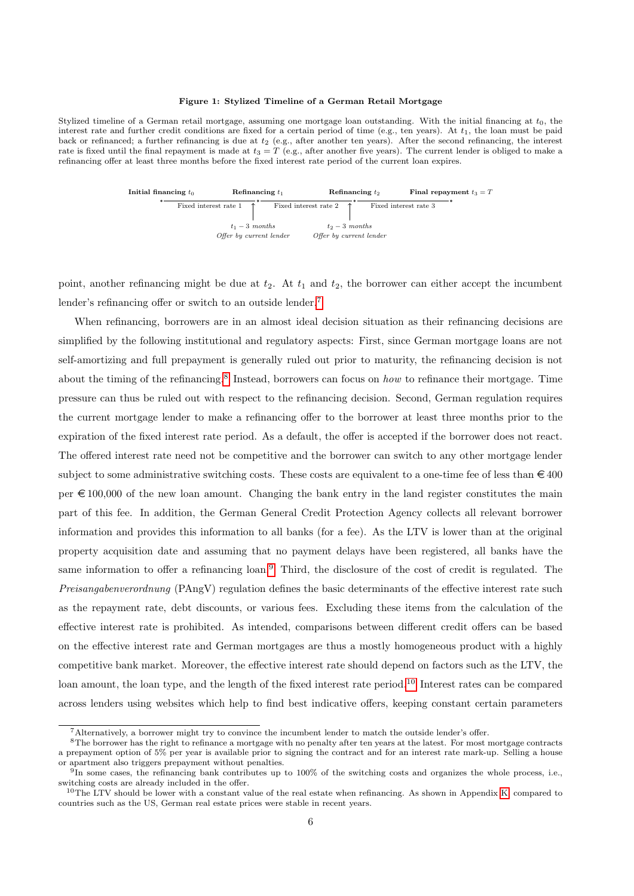#### Figure 1: Stylized Timeline of a German Retail Mortgage

<span id="page-5-0"></span>Stylized timeline of a German retail mortgage, assuming one mortgage loan outstanding. With the initial financing at  $t_0$ , the interest rate and further credit conditions are fixed for a certain period of time (e.g., ten years). At  $t_1$ , the loan must be paid back or refinanced; a further refinancing is due at  $t_2$  (e.g., after another ten years). After the second refinancing, the interest rate is fixed until the final repayment is made at  $t_3 = T$  (e.g., after another five years). The current lender is obliged to make a refinancing offer at least three months before the fixed interest rate period of the current loan expires.



point, another refinancing might be due at  $t_2$ . At  $t_1$  and  $t_2$ , the borrower can either accept the incumbent lender's refinancing offer or switch to an outside lender.<sup>[7](#page-5-1)</sup>

When refinancing, borrowers are in an almost ideal decision situation as their refinancing decisions are simplified by the following institutional and regulatory aspects: First, since German mortgage loans are not self-amortizing and full prepayment is generally ruled out prior to maturity, the refinancing decision is not about the timing of the refinancing.<sup>[8](#page-5-2)</sup> Instead, borrowers can focus on *how* to refinance their mortgage. Time pressure can thus be ruled out with respect to the refinancing decision. Second, German regulation requires the current mortgage lender to make a refinancing offer to the borrower at least three months prior to the expiration of the fixed interest rate period. As a default, the offer is accepted if the borrower does not react. The offered interest rate need not be competitive and the borrower can switch to any other mortgage lender subject to some administrative switching costs. These costs are equivalent to a one-time fee of less than  $\epsilon \neq 400$ per  $\epsilon$  100,000 of the new loan amount. Changing the bank entry in the land register constitutes the main part of this fee. In addition, the German General Credit Protection Agency collects all relevant borrower information and provides this information to all banks (for a fee). As the LTV is lower than at the original property acquisition date and assuming that no payment delays have been registered, all banks have the same information to offer a refinancing loan.[9](#page-5-3) Third, the disclosure of the cost of credit is regulated. The Preisangabenverordnung (PAngV) regulation defines the basic determinants of the effective interest rate such as the repayment rate, debt discounts, or various fees. Excluding these items from the calculation of the effective interest rate is prohibited. As intended, comparisons between different credit offers can be based on the effective interest rate and German mortgages are thus a mostly homogeneous product with a highly competitive bank market. Moreover, the effective interest rate should depend on factors such as the LTV, the loan amount, the loan type, and the length of the fixed interest rate period.[10](#page-5-4) Interest rates can be compared across lenders using websites which help to find best indicative offers, keeping constant certain parameters

<span id="page-5-2"></span><span id="page-5-1"></span><sup>7</sup>Alternatively, a borrower might try to convince the incumbent lender to match the outside lender's offer.

<sup>8</sup>The borrower has the right to refinance a mortgage with no penalty after ten years at the latest. For most mortgage contracts a prepayment option of 5% per year is available prior to signing the contract and for an interest rate mark-up. Selling a house or apartment also triggers prepayment without penalties.

<span id="page-5-3"></span><sup>&</sup>lt;sup>9</sup>In some cases, the refinancing bank contributes up to 100% of the switching costs and organizes the whole process, i.e., switching costs are already included in the offer.

<span id="page-5-4"></span><sup>&</sup>lt;sup>10</sup>The LTV should be lower with a constant value of the real estate when refinancing. As shown in Appendix [K,](#page-41-0) compared to countries such as the US, German real estate prices were stable in recent years.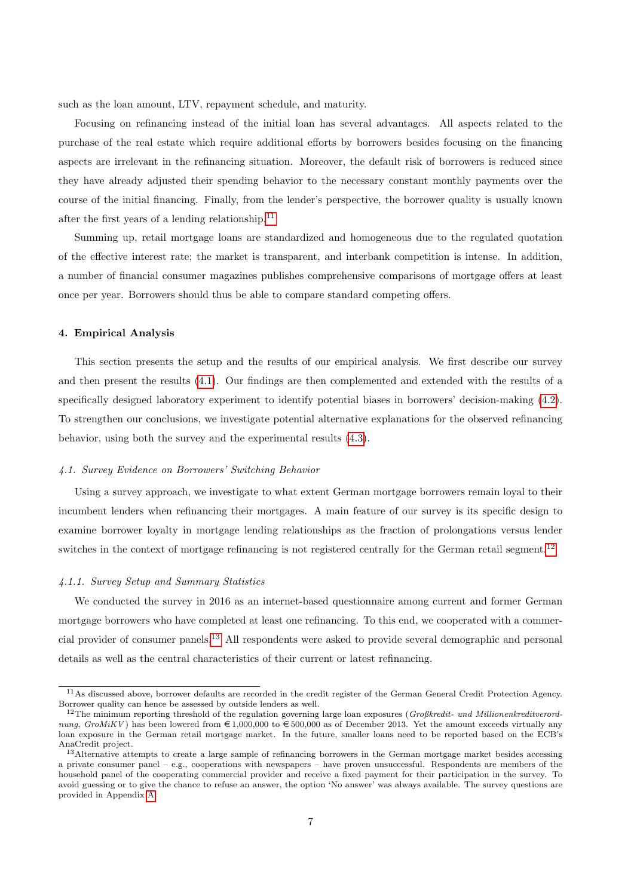such as the loan amount, LTV, repayment schedule, and maturity.

Focusing on refinancing instead of the initial loan has several advantages. All aspects related to the purchase of the real estate which require additional efforts by borrowers besides focusing on the financing aspects are irrelevant in the refinancing situation. Moreover, the default risk of borrowers is reduced since they have already adjusted their spending behavior to the necessary constant monthly payments over the course of the initial financing. Finally, from the lender's perspective, the borrower quality is usually known after the first years of a lending relationship.<sup>[11](#page-6-1)</sup>

Summing up, retail mortgage loans are standardized and homogeneous due to the regulated quotation of the effective interest rate; the market is transparent, and interbank competition is intense. In addition, a number of financial consumer magazines publishes comprehensive comparisons of mortgage offers at least once per year. Borrowers should thus be able to compare standard competing offers.

## <span id="page-6-0"></span>4. Empirical Analysis

This section presents the setup and the results of our empirical analysis. We first describe our survey and then present the results [\(4.1\)](#page-6-2). Our findings are then complemented and extended with the results of a specifically designed laboratory experiment to identify potential biases in borrowers' decision-making [\(4.2\)](#page-12-0). To strengthen our conclusions, we investigate potential alternative explanations for the observed refinancing behavior, using both the survey and the experimental results [\(4.3\)](#page-20-0).

#### <span id="page-6-2"></span>4.1. Survey Evidence on Borrowers' Switching Behavior

Using a survey approach, we investigate to what extent German mortgage borrowers remain loyal to their incumbent lenders when refinancing their mortgages. A main feature of our survey is its specific design to examine borrower loyalty in mortgage lending relationships as the fraction of prolongations versus lender switches in the context of mortgage refinancing is not registered centrally for the German retail segment.[12](#page-6-3)

#### 4.1.1. Survey Setup and Summary Statistics

We conducted the survey in 2016 as an internet-based questionnaire among current and former German mortgage borrowers who have completed at least one refinancing. To this end, we cooperated with a commercial provider of consumer panels.[13](#page-6-4) All respondents were asked to provide several demographic and personal details as well as the central characteristics of their current or latest refinancing.

<span id="page-6-1"></span><sup>11</sup>As discussed above, borrower defaults are recorded in the credit register of the German General Credit Protection Agency. Borrower quality can hence be assessed by outside lenders as well.

<span id="page-6-3"></span> $12$ The minimum reporting threshold of the regulation governing large loan exposures ( $Großkredit-$  und Millionenkreditverordnung, GroMiKV) has been lowered from  $\epsilon$ 1,000,000 to  $\epsilon$ 500,000 as of December 2013. Yet the amount exceeds virtually any loan exposure in the German retail mortgage market. In the future, smaller loans need to be reported based on the ECB's AnaCredit project.

<span id="page-6-4"></span><sup>&</sup>lt;sup>13</sup>Alternative attempts to create a large sample of refinancing borrowers in the German mortgage market besides accessing a private consumer panel – e.g., cooperations with newspapers – have proven unsuccessful. Respondents are members of the household panel of the cooperating commercial provider and receive a fixed payment for their participation in the survey. To avoid guessing or to give the chance to refuse an answer, the option 'No answer' was always available. The survey questions are provided in Appendix [A.](#page-27-0)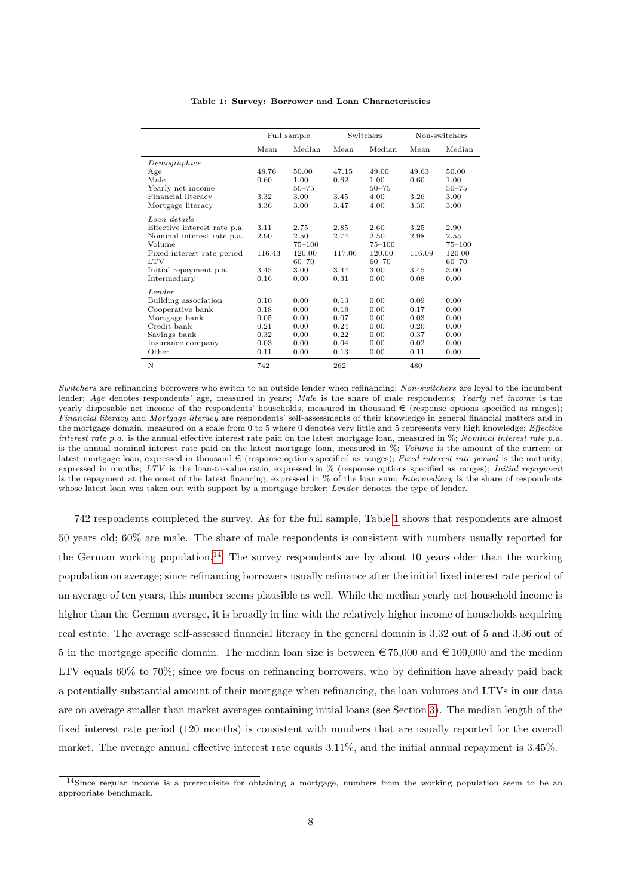<span id="page-7-0"></span>

|                              |        | Full sample |        | Switchers  |        | Non-switchers |
|------------------------------|--------|-------------|--------|------------|--------|---------------|
|                              | Mean   | Median      | Mean   | Median     | Mean   | Median        |
| Demographies                 |        |             |        |            |        |               |
| Age                          | 48.76  | 50.00       | 47.15  | 49.00      | 49.63  | 50.00         |
| Male                         | 0.60   | 1.00        | 0.62   | 1.00       | 0.60   | 1.00          |
| Yearly net income            |        | $50 - 75$   |        | $50 - 75$  |        | $50 - 75$     |
| Financial literacy           | 3.32   | 3.00        | 3.45   | 4.00       | 3.26   | 3.00          |
| Mortgage literacy            | 3.36   | 3.00        | 3.47   | 4.00       | 3.30   | 3.00          |
| Loan details                 |        |             |        |            |        |               |
| Effective interest rate p.a. | 3.11   | 2.75        | 2.85   | 2.60       | 3.25   | 2.90          |
| Nominal interest rate p.a.   | 2.90   | 2.50        | 2.74   | 2.50       | 2.98   | 2.55          |
| Volume                       |        | $75 - 100$  |        | $75 - 100$ |        | $75 - 100$    |
| Fixed interest rate period   | 116.43 | 120.00      | 117.06 | 120.00     | 116.09 | 120.00        |
| <b>LTV</b>                   |        | $60 - 70$   |        | $60 - 70$  |        | $60 - 70$     |
| Initial repayment p.a.       | 3.45   | 3.00        | 3.44   | 3.00       | 3.45   | 3.00          |
| Intermediary                 | 0.16   | 0.00        | 0.31   | 0.00       | 0.08   | 0.00          |
| Lender                       |        |             |        |            |        |               |
| Building association         | 0.10   | 0.00        | 0.13   | 0.00       | 0.09   | 0.00          |
| Cooperative bank             | 0.18   | 0.00        | 0.18   | 0.00       | 0.17   | 0.00          |
| Mortgage bank                | 0.05   | 0.00        | 0.07   | 0.00       | 0.03   | 0.00          |
| Credit bank                  | 0.21   | 0.00        | 0.24   | 0.00       | 0.20   | 0.00          |

#### Table 1: Survey: Borrower and Loan Characteristics

Switchers are refinancing borrowers who switch to an outside lender when refinancing; Non-switchers are loyal to the incumbent lender; Age denotes respondents' age, measured in years; Male is the share of male respondents; Yearly net income is the yearly disposable net income of the respondents' households, measured in thousand  $\epsilon$  (response options specified as ranges); Financial literacy and Mortgage literacy are respondents' self-assessments of their knowledge in general financial matters and in the mortgage domain, measured on a scale from 0 to 5 where 0 denotes very little and 5 represents very high knowledge; Effective interest rate p.a. is the annual effective interest rate paid on the latest mortgage loan, measured in %; Nominal interest rate p.a. is the annual nominal interest rate paid on the latest mortgage loan, measured in %; Volume is the amount of the current or latest mortgage loan, expressed in thousand  $\in$  (response options specified as ranges); Fixed interest rate period is the maturity, expressed in months; LTV is the loan-to-value ratio, expressed in % (response options specified as ranges); Initial repayment is the repayment at the onset of the latest financing, expressed in % of the loan sum; Intermediary is the share of respondents whose latest loan was taken out with support by a mortgage broker; Lender denotes the type of lender.

Savings bank  $0.32$   $0.00$   $0.22$   $0.00$   $0.37$   $0.00$ <br>Insurance company  $0.03$   $0.00$   $0.04$   $0.00$   $0.02$   $0.00$ 1 Insurance company  $\begin{array}{cccc} 0.03 & 0.00 & 0.04 & 0.00 & 0.02 & 0.00 \\ \text{Other} & 0.11 & 0.00 & 0.13 & 0.00 & 0.11 & 0.00 \end{array}$ Other 0.11 0.00 0.13 0.00 0.11 0.00

N 742 262 480

742 respondents completed the survey. As for the full sample, Table [1](#page-7-0) shows that respondents are almost 50 years old; 60% are male. The share of male respondents is consistent with numbers usually reported for the German working population.<sup>[14](#page-7-1)</sup> The survey respondents are by about 10 years older than the working population on average; since refinancing borrowers usually refinance after the initial fixed interest rate period of an average of ten years, this number seems plausible as well. While the median yearly net household income is higher than the German average, it is broadly in line with the relatively higher income of households acquiring real estate. The average self-assessed financial literacy in the general domain is 3.32 out of 5 and 3.36 out of 5 in the mortgage specific domain. The median loan size is between  $\in 75,000$  and  $\in 100,000$  and the median LTV equals 60% to 70%; since we focus on refinancing borrowers, who by definition have already paid back a potentially substantial amount of their mortgage when refinancing, the loan volumes and LTVs in our data are on average smaller than market averages containing initial loans (see Section [3\)](#page-4-0). The median length of the fixed interest rate period (120 months) is consistent with numbers that are usually reported for the overall market. The average annual effective interest rate equals 3.11%, and the initial annual repayment is 3.45%.

<span id="page-7-1"></span><sup>14</sup>Since regular income is a prerequisite for obtaining a mortgage, numbers from the working population seem to be an appropriate benchmark.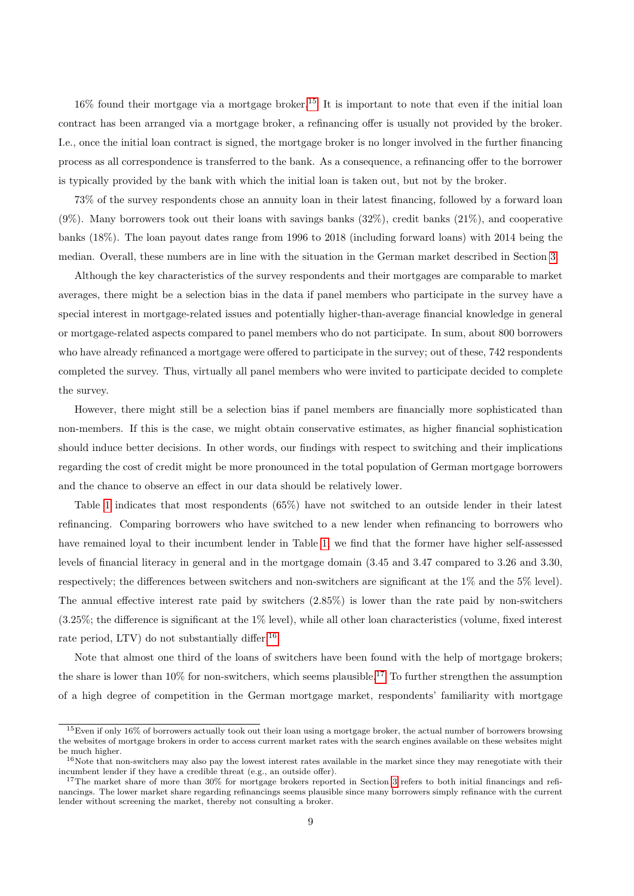$16\%$  found their mortgage via a mortgage broker.<sup>[15](#page-8-0)</sup> It is important to note that even if the initial loan contract has been arranged via a mortgage broker, a refinancing offer is usually not provided by the broker. I.e., once the initial loan contract is signed, the mortgage broker is no longer involved in the further financing process as all correspondence is transferred to the bank. As a consequence, a refinancing offer to the borrower is typically provided by the bank with which the initial loan is taken out, but not by the broker.

73% of the survey respondents chose an annuity loan in their latest financing, followed by a forward loan (9%). Many borrowers took out their loans with savings banks (32%), credit banks (21%), and cooperative banks (18%). The loan payout dates range from 1996 to 2018 (including forward loans) with 2014 being the median. Overall, these numbers are in line with the situation in the German market described in Section [3.](#page-4-0)

Although the key characteristics of the survey respondents and their mortgages are comparable to market averages, there might be a selection bias in the data if panel members who participate in the survey have a special interest in mortgage-related issues and potentially higher-than-average financial knowledge in general or mortgage-related aspects compared to panel members who do not participate. In sum, about 800 borrowers who have already refinanced a mortgage were offered to participate in the survey; out of these, 742 respondents completed the survey. Thus, virtually all panel members who were invited to participate decided to complete the survey.

However, there might still be a selection bias if panel members are financially more sophisticated than non-members. If this is the case, we might obtain conservative estimates, as higher financial sophistication should induce better decisions. In other words, our findings with respect to switching and their implications regarding the cost of credit might be more pronounced in the total population of German mortgage borrowers and the chance to observe an effect in our data should be relatively lower.

Table [1](#page-7-0) indicates that most respondents (65%) have not switched to an outside lender in their latest refinancing. Comparing borrowers who have switched to a new lender when refinancing to borrowers who have remained loyal to their incumbent lender in Table [1,](#page-7-0) we find that the former have higher self-assessed levels of financial literacy in general and in the mortgage domain (3.45 and 3.47 compared to 3.26 and 3.30, respectively; the differences between switchers and non-switchers are significant at the 1% and the 5% level). The annual effective interest rate paid by switchers (2.85%) is lower than the rate paid by non-switchers (3.25%; the difference is significant at the 1% level), while all other loan characteristics (volume, fixed interest rate period, LTV) do not substantially differ.<sup>[16](#page-8-1)</sup>

Note that almost one third of the loans of switchers have been found with the help of mortgage brokers; the share is lower than  $10\%$  for non-switchers, which seems plausible.<sup>[17](#page-8-2)</sup> To further strengthen the assumption of a high degree of competition in the German mortgage market, respondents' familiarity with mortgage

<span id="page-8-0"></span><sup>15</sup>Even if only 16% of borrowers actually took out their loan using a mortgage broker, the actual number of borrowers browsing the websites of mortgage brokers in order to access current market rates with the search engines available on these websites might be much higher.

<span id="page-8-1"></span><sup>&</sup>lt;sup>16</sup>Note that non-switchers may also pay the lowest interest rates available in the market since they may renegotiate with their incumbent lender if they have a credible threat (e.g., an outside offer).

<span id="page-8-2"></span><sup>&</sup>lt;sup>17</sup>The market share of more than [3](#page-4-0)0% for mortgage brokers reported in Section 3 refers to both initial financings and refinancings. The lower market share regarding refinancings seems plausible since many borrowers simply refinance with the current lender without screening the market, thereby not consulting a broker.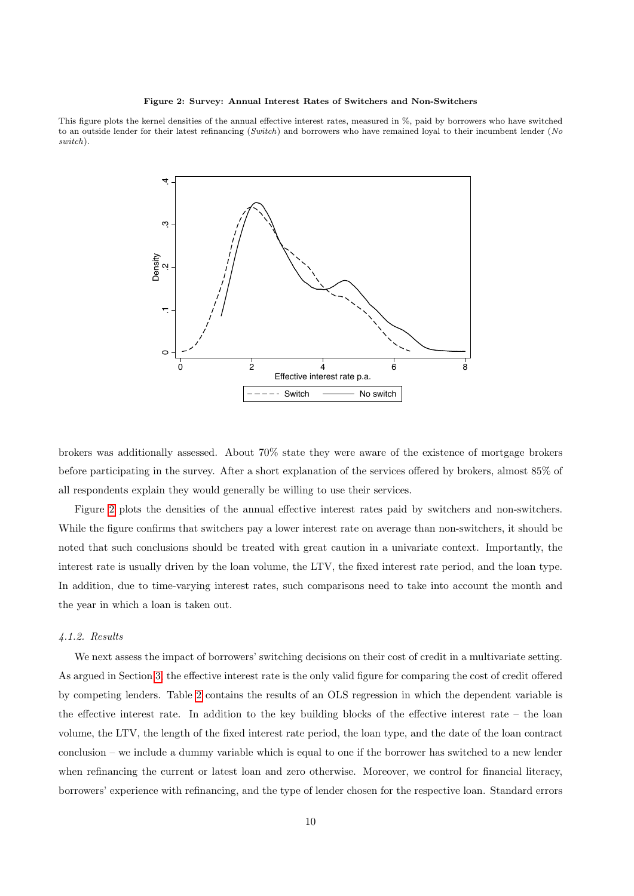## Figure 2: Survey: Annual Interest Rates of Switchers and Non-Switchers

<span id="page-9-0"></span>This figure plots the kernel densities of the annual effective interest rates, measured in %, paid by borrowers who have switched to an outside lender for their latest refinancing (Switch) and borrowers who have remained loyal to their incumbent lender (No switch).



brokers was additionally assessed. About 70% state they were aware of the existence of mortgage brokers before participating in the survey. After a short explanation of the services offered by brokers, almost 85% of all respondents explain they would generally be willing to use their services.

Figure [2](#page-9-0) plots the densities of the annual effective interest rates paid by switchers and non-switchers. While the figure confirms that switchers pay a lower interest rate on average than non-switchers, it should be noted that such conclusions should be treated with great caution in a univariate context. Importantly, the interest rate is usually driven by the loan volume, the LTV, the fixed interest rate period, and the loan type. In addition, due to time-varying interest rates, such comparisons need to take into account the month and the year in which a loan is taken out.

## 4.1.2. Results

We next assess the impact of borrowers' switching decisions on their cost of credit in a multivariate setting. As argued in Section [3,](#page-4-0) the effective interest rate is the only valid figure for comparing the cost of credit offered by competing lenders. Table [2](#page-11-0) contains the results of an OLS regression in which the dependent variable is the effective interest rate. In addition to the key building blocks of the effective interest rate – the loan volume, the LTV, the length of the fixed interest rate period, the loan type, and the date of the loan contract conclusion – we include a dummy variable which is equal to one if the borrower has switched to a new lender when refinancing the current or latest loan and zero otherwise. Moreover, we control for financial literacy, borrowers' experience with refinancing, and the type of lender chosen for the respective loan. Standard errors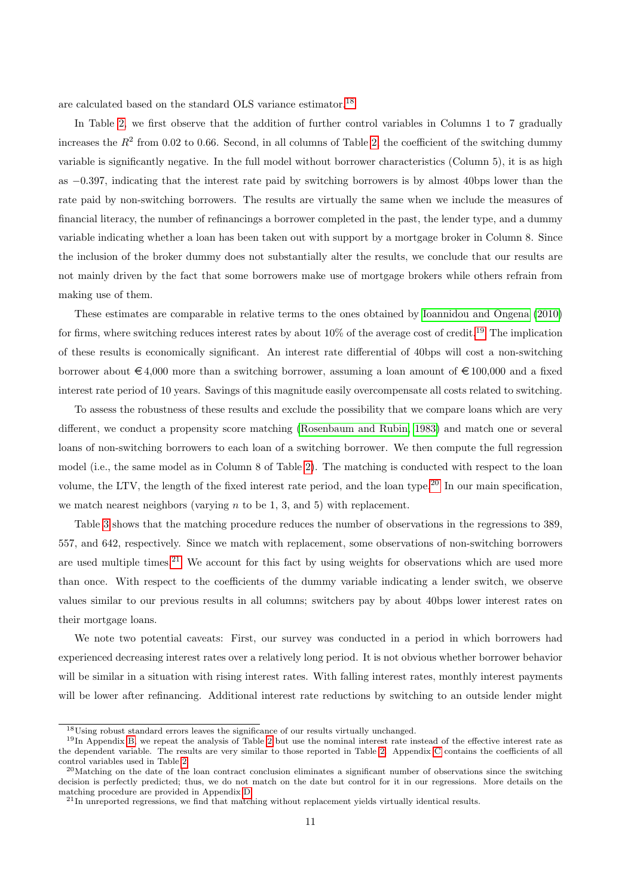are calculated based on the standard OLS variance estimator.[18](#page-10-0)

In Table [2,](#page-11-0) we first observe that the addition of further control variables in Columns 1 to 7 gradually increases the  $R^2$  from 0.02 to 0.66. Second, in all columns of Table [2,](#page-11-0) the coefficient of the switching dummy variable is significantly negative. In the full model without borrower characteristics (Column 5), it is as high as −0.397, indicating that the interest rate paid by switching borrowers is by almost 40bps lower than the rate paid by non-switching borrowers. The results are virtually the same when we include the measures of financial literacy, the number of refinancings a borrower completed in the past, the lender type, and a dummy variable indicating whether a loan has been taken out with support by a mortgage broker in Column 8. Since the inclusion of the broker dummy does not substantially alter the results, we conclude that our results are not mainly driven by the fact that some borrowers make use of mortgage brokers while others refrain from making use of them.

These estimates are comparable in relative terms to the ones obtained by [Ioannidou and Ongena](#page-25-9) [\(2010\)](#page-25-9) for firms, where switching reduces interest rates by about  $10\%$  of the average cost of credit.<sup>[19](#page-10-1)</sup> The implication of these results is economically significant. An interest rate differential of 40bps will cost a non-switching borrower about  $\in 4,000$  more than a switching borrower, assuming a loan amount of  $\in 100,000$  and a fixed interest rate period of 10 years. Savings of this magnitude easily overcompensate all costs related to switching.

To assess the robustness of these results and exclude the possibility that we compare loans which are very different, we conduct a propensity score matching [\(Rosenbaum and Rubin, 1983\)](#page-25-20) and match one or several loans of non-switching borrowers to each loan of a switching borrower. We then compute the full regression model (i.e., the same model as in Column 8 of Table [2\)](#page-11-0). The matching is conducted with respect to the loan volume, the LTV, the length of the fixed interest rate period, and the loan type.<sup>[20](#page-10-2)</sup> In our main specification, we match nearest neighbors (varying  $n$  to be 1, 3, and 5) with replacement.

Table [3](#page-12-1) shows that the matching procedure reduces the number of observations in the regressions to 389, 557, and 642, respectively. Since we match with replacement, some observations of non-switching borrowers are used multiple times.<sup>[21](#page-10-3)</sup> We account for this fact by using weights for observations which are used more than once. With respect to the coefficients of the dummy variable indicating a lender switch, we observe values similar to our previous results in all columns; switchers pay by about 40bps lower interest rates on their mortgage loans.

We note two potential caveats: First, our survey was conducted in a period in which borrowers had experienced decreasing interest rates over a relatively long period. It is not obvious whether borrower behavior will be similar in a situation with rising interest rates. With falling interest rates, monthly interest payments will be lower after refinancing. Additional interest rate reductions by switching to an outside lender might

<span id="page-10-1"></span><span id="page-10-0"></span><sup>18</sup>Using robust standard errors leaves the significance of our results virtually unchanged.

 $19$ In Appendix [B,](#page-31-0) we repeat the analysis of Table [2](#page-11-0) but use the nominal interest rate instead of the effective interest rate as the dependent variable. The results are very similar to those reported in Table [2.](#page-11-0) Appendix [C](#page-32-0) contains the coefficients of all control variables used in Table [2.](#page-11-0)

<span id="page-10-2"></span> $^{20}$ Matching on the date of the loan contract conclusion eliminates a significant number of observations since the switching decision is perfectly predicted; thus, we do not match on the date but control for it in our regressions. More details on the matching procedure are provided in Appendix [D.](#page-33-0)

<span id="page-10-3"></span> $^{21}$ In unreported regressions, we find that matching without replacement vields virtually identical results.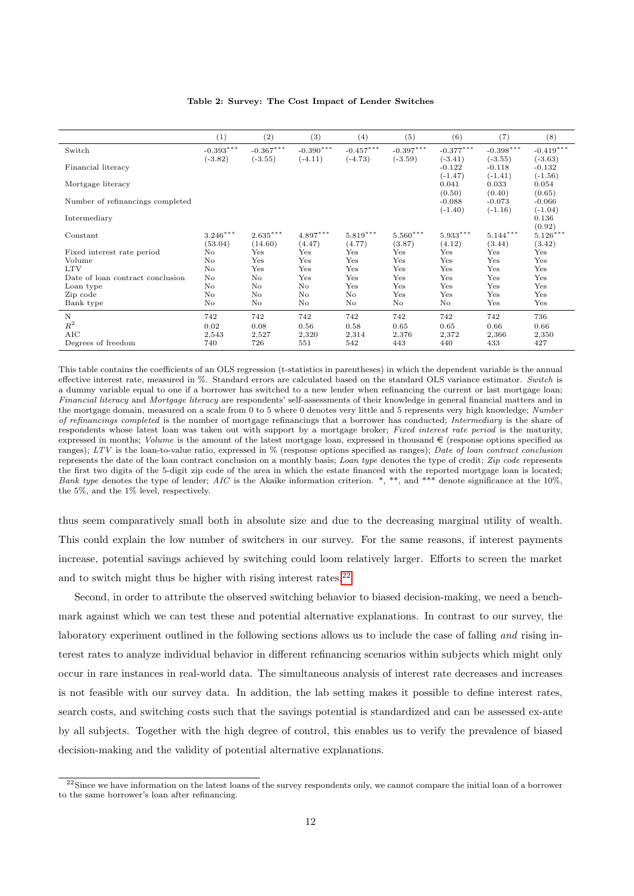#### Table 2: Survey: The Cost Impact of Lender Switches

<span id="page-11-0"></span>

|                                  | (1)         | (2)         | (3)            | (4)         | (5)         | (6)         | (7)         | (8)         |
|----------------------------------|-------------|-------------|----------------|-------------|-------------|-------------|-------------|-------------|
| Switch                           | $-0.393***$ | $-0.367***$ | $-0.390***$    | $-0.457***$ | $-0.397***$ | $-0.377***$ | $-0.398***$ | $-0.419***$ |
|                                  | $(-3.82)$   | $(-3.55)$   | $(-4.11)$      | $(-4.73)$   | $(-3.59)$   | $(-3.41)$   | $(-3.55)$   | $(-3.63)$   |
| Financial literacy               |             |             |                |             |             | $-0.122$    | $-0.118$    | $-0.132$    |
|                                  |             |             |                |             |             | $(-1.47)$   | $(-1.41)$   | $(-1.56)$   |
| Mortgage literacy                |             |             |                |             |             | 0.041       | 0.033       | 0.054       |
|                                  |             |             |                |             |             | (0.50)      | (0.40)      | (0.65)      |
| Number of refinancings completed |             |             |                |             |             | $-0.088$    | $-0.073$    | $-0.066$    |
|                                  |             |             |                |             |             | $(-1.40)$   | $(-1.16)$   | $(-1.04)$   |
| Intermediary                     |             |             |                |             |             |             |             | 0.136       |
|                                  |             |             |                |             |             |             |             | (0.92)      |
| Constant                         | $3.246***$  | $2.635***$  | $4.897***$     | $5.819***$  | $5.560***$  | $5.933***$  | $5.144***$  | $5.126***$  |
|                                  | (53.04)     | (14.60)     | (4.47)         | (4.77)      | (3.87)      | (4.12)      | (3.44)      | (3.42)      |
| Fixed interest rate period       | No          | Yes         | Yes            | Yes         | Yes         | Yes         | Yes         | Yes         |
| Volume                           | No          | Yes         | Yes            | Yes         | Yes         | Yes         | Yes         | Yes         |
| <b>LTV</b>                       | No          | Yes         | Yes            | Yes         | Yes         | Yes         | Yes         | Yes         |
| Date of loan contract conclusion | No          | No          | Yes            | Yes         | Yes         | Yes         | Yes         | Yes         |
| Loan type                        | No          | No          | N <sub>o</sub> | Yes         | Yes         | Yes         | Yes         | Yes         |
| Zip code                         | No          | No          | No             | No          | Yes         | Yes         | Yes         | Yes         |
| Bank type                        | No          | No          | No             | No          | No          | No          | Yes         | Yes         |
| $\mathbf N$                      | 742         | 742         | 742            | 742         | 742         | 742         | 742         | 736         |
| $R^2$                            | 0.02        | 0.08        | 0.56           | 0.58        | 0.65        | 0.65        | 0.66        | 0.66        |
| <b>AIC</b>                       | 2,543       | 2,527       | 2,320          | 2,314       | 2,376       | 2,372       | 2,366       | 2,350       |
| Degrees of freedom               | 740         | 726         | 551            | 542         | 443         | 440         | 433         | 427         |

This table contains the coefficients of an OLS regression (t-statistics in parentheses) in which the dependent variable is the annual effective interest rate, measured in %. Standard errors are calculated based on the standard OLS variance estimator. Switch is a dummy variable equal to one if a borrower has switched to a new lender when refinancing the current or last mortgage loan; Financial literacy and Mortgage literacy are respondents' self-assessments of their knowledge in general financial matters and in the mortgage domain, measured on a scale from 0 to 5 where 0 denotes very little and 5 represents very high knowledge; Number of refinancings completed is the number of mortgage refinancings that a borrower has conducted; Intermediary is the share of respondents whose latest loan was taken out with support by a mortgage broker; Fixed interest rate period is the maturity, expressed in months; Volume is the amount of the latest mortgage loan, expressed in thousand  $\epsilon$  (response options specified as ranges); LTV is the loan-to-value ratio, expressed in % (response options specified as ranges); Date of loan contract conclusion represents the date of the loan contract conclusion on a monthly basis; Loan type denotes the type of credit; Zip code represents the first two digits of the 5-digit zip code of the area in which the estate financed with the reported mortgage loan is located; Bank type denotes the type of lender; AIC is the Akaike information criterion.  $*,$  \*\*, and \*\*\* denote significance at the 10%, the 5%, and the 1% level, respectively.

thus seem comparatively small both in absolute size and due to the decreasing marginal utility of wealth. This could explain the low number of switchers in our survey. For the same reasons, if interest payments increase, potential savings achieved by switching could loom relatively larger. Efforts to screen the market and to switch might thus be higher with rising interest rates. $22$ 

Second, in order to attribute the observed switching behavior to biased decision-making, we need a benchmark against which we can test these and potential alternative explanations. In contrast to our survey, the laboratory experiment outlined in the following sections allows us to include the case of falling and rising interest rates to analyze individual behavior in different refinancing scenarios within subjects which might only occur in rare instances in real-world data. The simultaneous analysis of interest rate decreases and increases is not feasible with our survey data. In addition, the lab setting makes it possible to define interest rates, search costs, and switching costs such that the savings potential is standardized and can be assessed ex-ante by all subjects. Together with the high degree of control, this enables us to verify the prevalence of biased decision-making and the validity of potential alternative explanations.

<span id="page-11-1"></span> $22$ Since we have information on the latest loans of the survey respondents only, we cannot compare the initial loan of a borrower to the same borrower's loan after refinancing.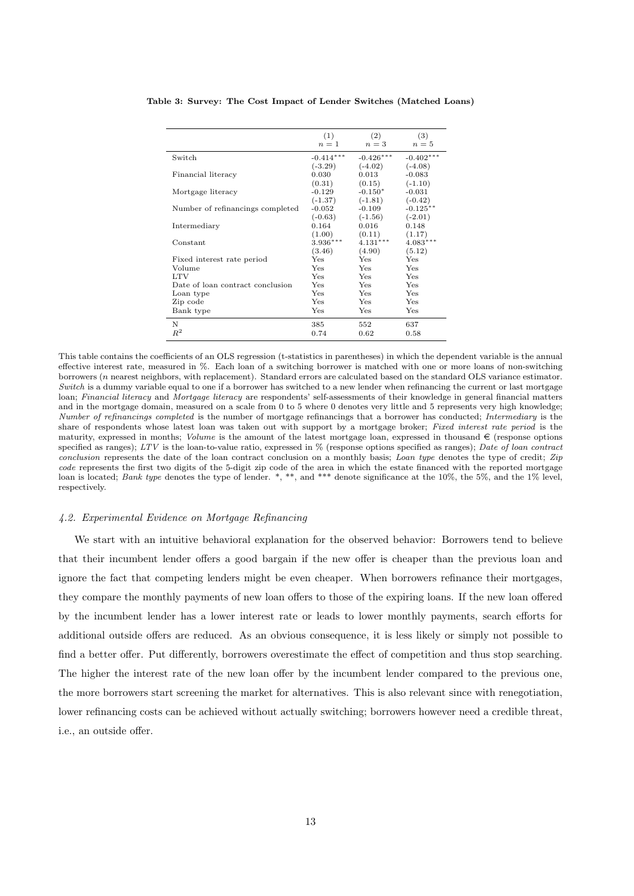|                                  | (1)<br>$n=1$ | (2)<br>$n=3$ | (3)<br>$n=5$ |
|----------------------------------|--------------|--------------|--------------|
| Switch                           | $-0.414***$  | $-0.426***$  | $-0.402***$  |
|                                  | $(-3.29)$    | $(-4.02)$    | $(-4.08)$    |
| Financial literacy               | 0.030        | 0.013        | $-0.083$     |
|                                  | (0.31)       | (0.15)       | $(-1.10)$    |
| Mortgage literacy                | $-0.129$     | $-0.150*$    | $-0.031$     |
|                                  | $(-1.37)$    | $(-1.81)$    | $(-0.42)$    |
| Number of refinancings completed | $-0.052$     | $-0.109$     | $-0.125**$   |
|                                  | $(-0.63)$    | $(-1.56)$    | $(-2.01)$    |
| Intermediary                     | 0.164        | 0.016        | 0.148        |
|                                  | (1.00)       | (0.11)       | (1.17)       |
| Constant                         | $3.936***$   | $4.131***$   | $4.083***$   |
|                                  | (3.46)       | (4.90)       | (5.12)       |
| Fixed interest rate period       | Yes.         | Yes.         | Yes          |
| Volume                           | Yes.         | Yes.         | Yes          |
| LTV                              | Yes.         | Yes          | Yes          |
| Date of loan contract conclusion | <b>Yes</b>   | <b>Yes</b>   | Yes          |
| Loan type                        | Yes          | Yes          | Yes          |
| Zip code                         | Yes          | Yes          | Yes          |
| Bank type                        | Yes          | Yes          | Yes          |
| Ν                                | 385          | 552          | 637          |
| $R^2$                            | 0.74         | 0.62         | 0.58         |

<span id="page-12-1"></span>Table 3: Survey: The Cost Impact of Lender Switches (Matched Loans)

This table contains the coefficients of an OLS regression (t-statistics in parentheses) in which the dependent variable is the annual effective interest rate, measured in %. Each loan of a switching borrower is matched with one or more loans of non-switching borrowers (n nearest neighbors, with replacement). Standard errors are calculated based on the standard OLS variance estimator. Switch is a dummy variable equal to one if a borrower has switched to a new lender when refinancing the current or last mortgage loan; Financial literacy and Mortgage literacy are respondents' self-assessments of their knowledge in general financial matters and in the mortgage domain, measured on a scale from 0 to 5 where 0 denotes very little and 5 represents very high knowledge; Number of refinancings completed is the number of mortgage refinancings that a borrower has conducted; Intermediary is the share of respondents whose latest loan was taken out with support by a mortgage broker; Fixed interest rate period is the maturity, expressed in months; Volume is the amount of the latest mortgage loan, expressed in thousand  $\epsilon$  (response options specified as ranges);  $LTV$  is the loan-to-value ratio, expressed in % (response options specified as ranges); Date of loan contract conclusion represents the date of the loan contract conclusion on a monthly basis; Loan type denotes the type of credit; Zip code represents the first two digits of the 5-digit zip code of the area in which the estate financed with the reported mortgage loan is located; Bank type denotes the type of lender. \*, \*\*, and \*\*\* denote significance at the 10%, the 5%, and the 1% level, respectively.

### <span id="page-12-0"></span>4.2. Experimental Evidence on Mortgage Refinancing

We start with an intuitive behavioral explanation for the observed behavior: Borrowers tend to believe that their incumbent lender offers a good bargain if the new offer is cheaper than the previous loan and ignore the fact that competing lenders might be even cheaper. When borrowers refinance their mortgages, they compare the monthly payments of new loan offers to those of the expiring loans. If the new loan offered by the incumbent lender has a lower interest rate or leads to lower monthly payments, search efforts for additional outside offers are reduced. As an obvious consequence, it is less likely or simply not possible to find a better offer. Put differently, borrowers overestimate the effect of competition and thus stop searching. The higher the interest rate of the new loan offer by the incumbent lender compared to the previous one, the more borrowers start screening the market for alternatives. This is also relevant since with renegotiation, lower refinancing costs can be achieved without actually switching; borrowers however need a credible threat, i.e., an outside offer.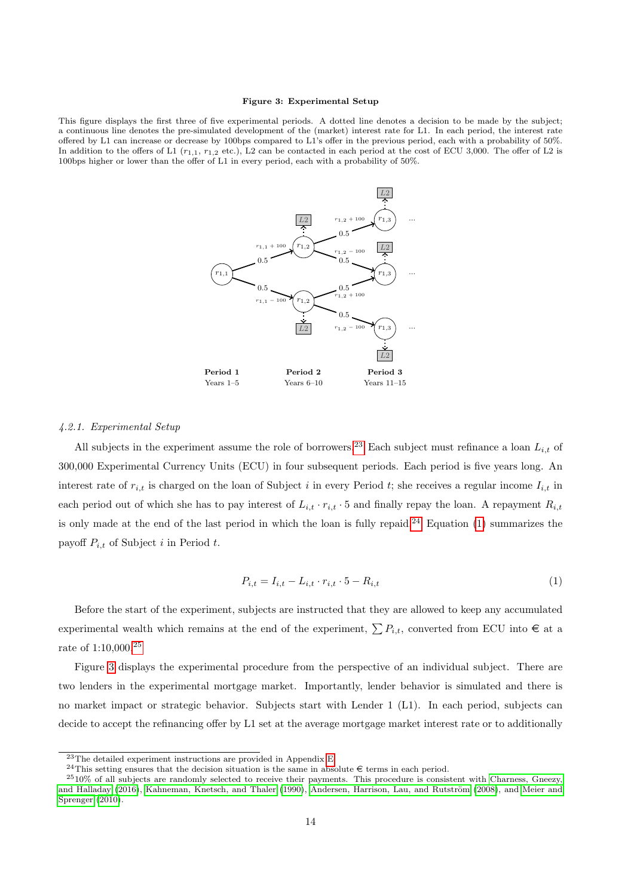#### Figure 3: Experimental Setup

<span id="page-13-4"></span>This figure displays the first three of five experimental periods. A dotted line denotes a decision to be made by the subject; a continuous line denotes the pre-simulated development of the (market) interest rate for L1. In each period, the interest rate offered by L1 can increase or decrease by 100bps compared to L1's offer in the previous period, each with a probability of 50%. In addition to the offers of L1  $(r_{1,1}, r_{1,2} \text{ etc.})$ , L2 can be contacted in each period at the cost of ECU 3,000. The offer of L2 is 100bps higher or lower than the offer of L1 in every period, each with a probability of 50%.



#### 4.2.1. Experimental Setup

All subjects in the experiment assume the role of borrowers.<sup>[23](#page-13-0)</sup> Each subject must refinance a loan  $L_{i,t}$  of 300,000 Experimental Currency Units (ECU) in four subsequent periods. Each period is five years long. An interest rate of  $r_{i,t}$  is charged on the loan of Subject i in every Period t; she receives a regular income  $I_{i,t}$  in each period out of which she has to pay interest of  $L_{i,t} \cdot r_{i,t} \cdot 5$  and finally repay the loan. A repayment  $R_{i,t}$ is only made at the end of the last period in which the loan is fully repaid.<sup>[24](#page-13-1)</sup> Equation  $(1)$  summarizes the payoff  $P_{i,t}$  of Subject i in Period t.

<span id="page-13-2"></span>
$$
P_{i,t} = I_{i,t} - L_{i,t} \cdot r_{i,t} \cdot 5 - R_{i,t} \tag{1}
$$

Before the start of the experiment, subjects are instructed that they are allowed to keep any accumulated experimental wealth which remains at the end of the experiment,  $\sum P_{i,t}$ , converted from ECU into  $\in$  at a rate of 1:10,000.[25](#page-13-3)

Figure [3](#page-13-4) displays the experimental procedure from the perspective of an individual subject. There are two lenders in the experimental mortgage market. Importantly, lender behavior is simulated and there is no market impact or strategic behavior. Subjects start with Lender 1 (L1). In each period, subjects can decide to accept the refinancing offer by L1 set at the average mortgage market interest rate or to additionally

<span id="page-13-0"></span> $23$ The detailed experiment instructions are provided in Appendix [E.](#page-34-0)

<span id="page-13-3"></span><span id="page-13-1"></span><sup>&</sup>lt;sup>24</sup>This setting ensures that the decision situation is the same in absolute  $\in$  terms in each period.

<sup>25</sup>10% of all subjects are randomly selected to receive their payments. This procedure is consistent with [Charness, Gneezy,](#page-25-21) [and Halladay](#page-25-21) [\(2016\)](#page-25-21), [Kahneman, Knetsch, and Thaler](#page-25-22) [\(1990\)](#page-25-22), Andersen, Harrison, Lau, and Rutström [\(2008\)](#page-25-23), and [Meier and](#page-25-24) [Sprenger](#page-25-24) [\(2010\)](#page-25-24).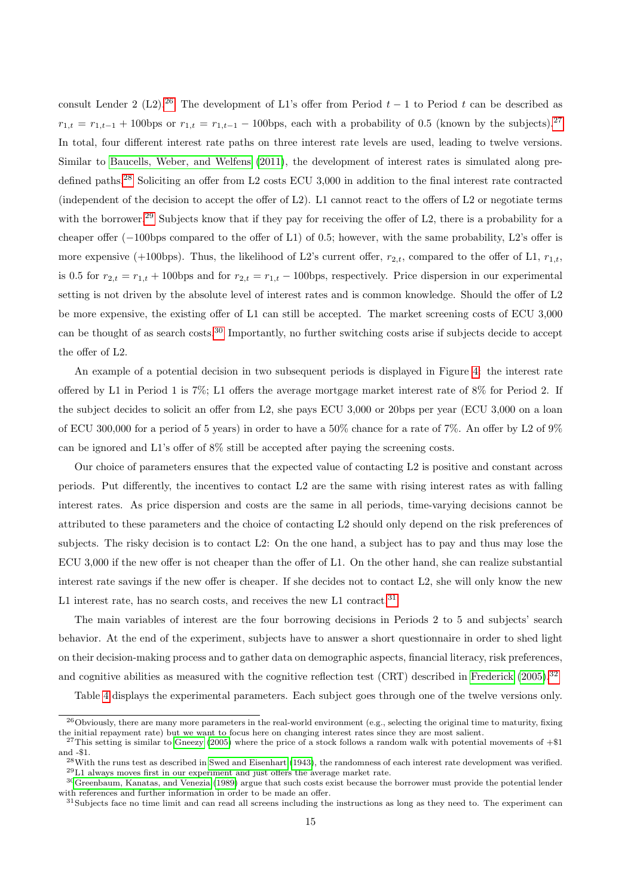consult Lender 2 (L2).<sup>[26](#page-14-0)</sup> The development of L1's offer from Period  $t-1$  to Period t can be described as  $r_{1,t} = r_{1,t-1} + 100$ bps or  $r_{1,t} = r_{1,t-1} - 100$ bps, each with a probability of 0.5 (known by the subjects).<sup>[27](#page-14-1)</sup> In total, four different interest rate paths on three interest rate levels are used, leading to twelve versions. Similar to [Baucells, Weber, and Welfens](#page-25-25) [\(2011\)](#page-25-25), the development of interest rates is simulated along pre-defined paths.<sup>[28](#page-14-2)</sup> Soliciting an offer from L2 costs ECU 3,000 in addition to the final interest rate contracted (independent of the decision to accept the offer of L2). L1 cannot react to the offers of L2 or negotiate terms with the borrower.<sup>[29](#page-14-3)</sup> Subjects know that if they pay for receiving the offer of L2, there is a probability for a cheaper offer (−100bps compared to the offer of L1) of 0.5; however, with the same probability, L2's offer is more expensive (+100bps). Thus, the likelihood of L2's current offer,  $r_{2,t}$ , compared to the offer of L1,  $r_{1,t}$ , is 0.5 for  $r_{2,t} = r_{1,t} + 100$  bps and for  $r_{2,t} = r_{1,t} - 100$  bps, respectively. Price dispersion in our experimental setting is not driven by the absolute level of interest rates and is common knowledge. Should the offer of L2 be more expensive, the existing offer of L1 can still be accepted. The market screening costs of ECU 3,000 can be thought of as search costs.[30](#page-14-4) Importantly, no further switching costs arise if subjects decide to accept the offer of L2.

An example of a potential decision in two subsequent periods is displayed in Figure [4:](#page-15-0) the interest rate offered by L1 in Period 1 is 7%; L1 offers the average mortgage market interest rate of 8% for Period 2. If the subject decides to solicit an offer from L2, she pays ECU 3,000 or 20bps per year (ECU 3,000 on a loan of ECU 300,000 for a period of 5 years) in order to have a 50% chance for a rate of 7%. An offer by L2 of 9% can be ignored and L1's offer of 8% still be accepted after paying the screening costs.

Our choice of parameters ensures that the expected value of contacting L2 is positive and constant across periods. Put differently, the incentives to contact L2 are the same with rising interest rates as with falling interest rates. As price dispersion and costs are the same in all periods, time-varying decisions cannot be attributed to these parameters and the choice of contacting L2 should only depend on the risk preferences of subjects. The risky decision is to contact L2: On the one hand, a subject has to pay and thus may lose the ECU 3,000 if the new offer is not cheaper than the offer of L1. On the other hand, she can realize substantial interest rate savings if the new offer is cheaper. If she decides not to contact L2, she will only know the new L1 interest rate, has no search costs, and receives the new L1 contract.<sup>[31](#page-14-5)</sup>

The main variables of interest are the four borrowing decisions in Periods 2 to 5 and subjects' search behavior. At the end of the experiment, subjects have to answer a short questionnaire in order to shed light on their decision-making process and to gather data on demographic aspects, financial literacy, risk preferences, and cognitive abilities as measured with the cognitive reflection test (CRT) described in [Frederick](#page-25-26) [\(2005\)](#page-25-26).<sup>[32](#page-15-1)</sup>

Table [4](#page-15-2) displays the experimental parameters. Each subject goes through one of the twelve versions only.

<span id="page-14-0"></span> $^{26}$ Obviously, there are many more parameters in the real-world environment (e.g., selecting the original time to maturity, fixing the initial repayment rate) but we want to focus here on changing interest rates since they are most salient.

<span id="page-14-1"></span> $^{27}$ This setting is similar to [Gneezy](#page-25-27) [\(2005\)](#page-25-27) where the price of a stock follows a random walk with potential movements of  $+\$1$ and -\$1.

<span id="page-14-3"></span><span id="page-14-2"></span> $28$ With the runs test as described in [Swed and Eisenhart](#page-25-28) [\(1943\)](#page-25-28), the randomness of each interest rate development was verified.  $^{29}$ L1 always moves first in our experiment and just offers the average market rate.

<span id="page-14-4"></span> $30$ [Greenbaum, Kanatas, and Venezia](#page-25-29) [\(1989\)](#page-25-29) argue that such costs exist because the borrower must provide the potential lender with references and further information in order to be made an offer.

<span id="page-14-5"></span> $31$ Subjects face no time limit and can read all screens including the instructions as long as they need to. The experiment can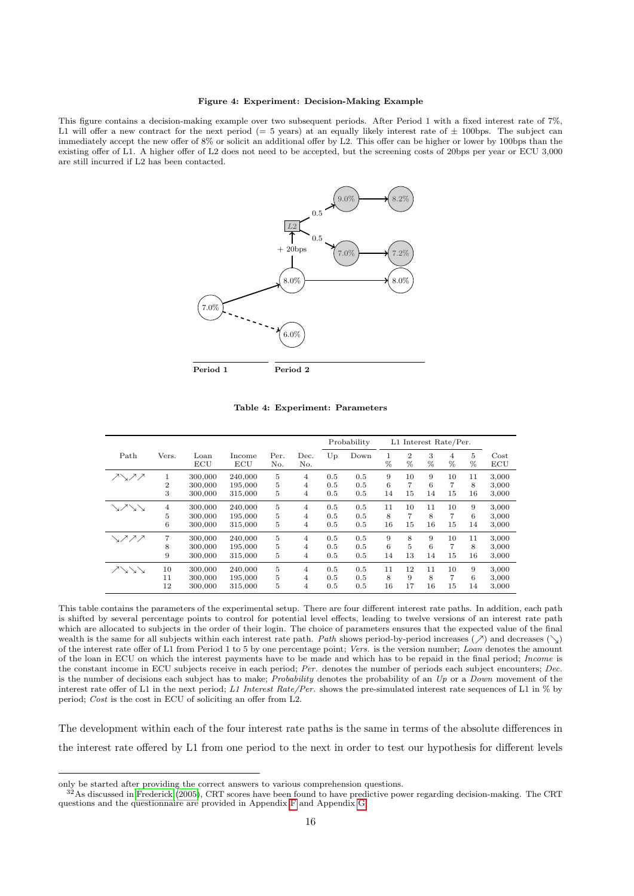#### Figure 4: Experiment: Decision-Making Example

<span id="page-15-0"></span>This figure contains a decision-making example over two subsequent periods. After Period 1 with a fixed interest rate of 7%, L1 will offer a new contract for the next period (= 5 years) at an equally likely interest rate of  $\pm$  100bps. The subject can immediately accept the new offer of 8% or solicit an additional offer by L2. This offer can be higher or lower by 100bps than the existing offer of L1. A higher offer of L2 does not need to be accepted, but the screening costs of 20bps per year or ECU 3,000 are still incurred if L2 has been contacted.



<span id="page-15-2"></span>

|       |                |             |               |             |                |     | Probability |    |                     | L1 Interest Rate/Per. |                     |        |             |
|-------|----------------|-------------|---------------|-------------|----------------|-----|-------------|----|---------------------|-----------------------|---------------------|--------|-------------|
| Path  | Vers.          | Loan<br>ECU | Income<br>ECU | Per.<br>No. | Dec.<br>No.    | Up  | Down        | %  | $\overline{2}$<br>% | 3<br>%                | $\overline{4}$<br>% | 5<br>% | Cost<br>ECU |
| ノヽノノ  | 1              | 300,000     | 240,000       | 5           | 4              | 0.5 | 0.5         | 9  | 10                  | 9                     | 10                  | 11     | 3,000       |
|       | $\overline{2}$ | 300,000     | 195,000       | 5           | 4              | 0.5 | 0.5         | 6  | $\overline{7}$      | 6                     | 7                   | 8      | 3,000       |
|       | 3              | 300,000     | 315,000       | 5           | 4              | 0.5 | 0.5         | 14 | 15                  | 14                    | 15                  | 16     | 3,000       |
| $x^2$ | $\overline{4}$ | 300,000     | 240,000       | 5           | 4              | 0.5 | 0.5         | 11 | 10                  | 11                    | 10                  | 9      | 3,000       |
|       | 5              | 300,000     | 195,000       | 5           | 4              | 0.5 | 0.5         | 8  | 7                   | 8                     | 7                   | 6      | 3,000       |
|       | 6              | 300,000     | 315,000       | 5           | 4              | 0.5 | 0.5         | 16 | 15                  | 16                    | 15                  | 14     | 3,000       |
| ヘススス  | 7              | 300,000     | 240,000       | 5           | $\overline{4}$ | 0.5 | 0.5         | 9  | 8                   | 9                     | 10                  | 11     | 3.000       |
|       | 8              | 300,000     | 195,000       | 5           | $\overline{4}$ | 0.5 | 0.5         | 6  | 5                   | 6                     | 7                   | 8      | 3,000       |
|       | 9              | 300,000     | 315,000       | 5           | $\overline{4}$ | 0.5 | 0.5         | 14 | 13                  | 14                    | 15                  | 16     | 3,000       |
| ノヘレヘ  | 10             | 300,000     | 240,000       | 5           | 4              | 0.5 | 0.5         | 11 | 12                  | 11                    | 10                  | 9      | 3,000       |
|       | 11             | 300,000     | 195,000       | 5           | 4              | 0.5 | 0.5         | 8  | 9                   | 8                     | 7                   | 6      | 3,000       |
|       | 12             | 300,000     | 315,000       | 5           | 4              | 0.5 | 0.5         | 16 | 17                  | 16                    | 15                  | 14     | 3,000       |

Table 4: Experiment: Parameters

This table contains the parameters of the experimental setup. There are four different interest rate paths. In addition, each path is shifted by several percentage points to control for potential level effects, leading to twelve versions of an interest rate path which are allocated to subjects in the order of their login. The choice of parameters ensures that the expected value of the final wealth is the same for all subjects within each interest rate path. Path shows period-by-period increases ( $\geq$ ) and decreases ( $\geq$ ) of the interest rate offer of L1 from Period 1 to 5 by one percentage point; Vers. is the version number; Loan denotes the amount of the loan in ECU on which the interest payments have to be made and which has to be repaid in the final period; Income is the constant income in ECU subjects receive in each period; Per. denotes the number of periods each subject encounters; Dec. is the number of decisions each subject has to make; Probability denotes the probability of an  $Up$  or a  $Down$  movement of the interest rate offer of L1 in the next period; L1 Interest Rate/Per. shows the pre-simulated interest rate sequences of L1 in % by period; Cost is the cost in ECU of soliciting an offer from L2.

The development within each of the four interest rate paths is the same in terms of the absolute differences in the interest rate offered by L1 from one period to the next in order to test our hypothesis for different levels

only be started after providing the correct answers to various comprehension questions.

<span id="page-15-1"></span> $32\text{As}$  discussed in [Frederick](#page-25-26) [\(2005\)](#page-25-26), CRT scores have been found to have predictive power regarding decision-making. The CRT questions and the questionnaire are provided in Appendix [F](#page-36-0) and Appendix [G.](#page-37-0)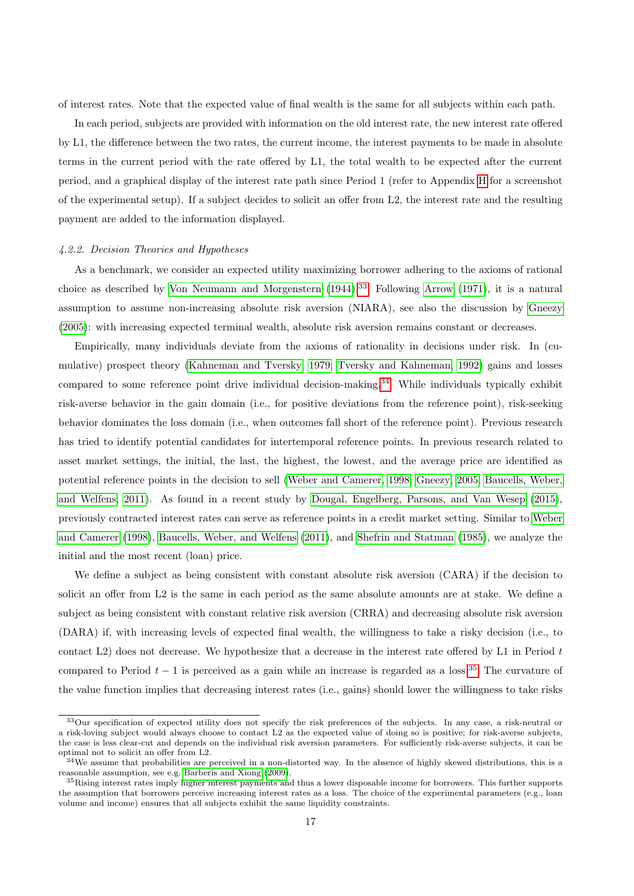of interest rates. Note that the expected value of final wealth is the same for all subjects within each path.

In each period, subjects are provided with information on the old interest rate, the new interest rate offered by L1, the difference between the two rates, the current income, the interest payments to be made in absolute terms in the current period with the rate offered by L1, the total wealth to be expected after the current period, and a graphical display of the interest rate path since Period 1 (refer to Appendix [H](#page-38-0) for a screenshot of the experimental setup). If a subject decides to solicit an offer from L2, the interest rate and the resulting payment are added to the information displayed.

#### 4.2.2. Decision Theories and Hypotheses

As a benchmark, we consider an expected utility maximizing borrower adhering to the axioms of rational choice as described by [Von Neumann and Morgenstern](#page-26-3) [\(1944\)](#page-26-3).[33](#page-16-0) Following [Arrow](#page-25-30) [\(1971\)](#page-25-30), it is a natural assumption to assume non-increasing absolute risk aversion (NIARA), see also the discussion by [Gneezy](#page-25-27) [\(2005\)](#page-25-27): with increasing expected terminal wealth, absolute risk aversion remains constant or decreases.

Empirically, many individuals deviate from the axioms of rationality in decisions under risk. In (cumulative) prospect theory [\(Kahneman and Tversky, 1979;](#page-25-31) [Tversky and Kahneman, 1992\)](#page-25-32) gains and losses compared to some reference point drive individual decision-making.<sup>[34](#page-16-1)</sup> While individuals typically exhibit risk-averse behavior in the gain domain (i.e., for positive deviations from the reference point), risk-seeking behavior dominates the loss domain (i.e., when outcomes fall short of the reference point). Previous research has tried to identify potential candidates for intertemporal reference points. In previous research related to asset market settings, the initial, the last, the highest, the lowest, and the average price are identified as potential reference points in the decision to sell [\(Weber and Camerer, 1998;](#page-26-4) [Gneezy, 2005;](#page-25-27) [Baucells, Weber,](#page-25-25) [and Welfens, 2011\)](#page-25-25). As found in a recent study by [Dougal, Engelberg, Parsons, and Van Wesep](#page-25-33) [\(2015\)](#page-25-33), previously contracted interest rates can serve as reference points in a credit market setting. Similar to [Weber](#page-26-4) [and Camerer](#page-26-4) [\(1998\)](#page-26-4), [Baucells, Weber, and Welfens](#page-25-25) [\(2011\)](#page-25-25), and [Shefrin and Statman](#page-25-34) [\(1985\)](#page-25-34), we analyze the initial and the most recent (loan) price.

We define a subject as being consistent with constant absolute risk aversion (CARA) if the decision to solicit an offer from L2 is the same in each period as the same absolute amounts are at stake. We define a subject as being consistent with constant relative risk aversion (CRRA) and decreasing absolute risk aversion (DARA) if, with increasing levels of expected final wealth, the willingness to take a risky decision (i.e., to contact L2) does not decrease. We hypothesize that a decrease in the interest rate offered by L1 in Period t compared to Period  $t - 1$  is perceived as a gain while an increase is regarded as a loss.<sup>[35](#page-16-2)</sup> The curvature of the value function implies that decreasing interest rates (i.e., gains) should lower the willingness to take risks

<span id="page-16-0"></span><sup>33</sup>Our specification of expected utility does not specify the risk preferences of the subjects. In any case, a risk-neutral or a risk-loving subject would always choose to contact L2 as the expected value of doing so is positive; for risk-averse subjects, the case is less clear-cut and depends on the individual risk aversion parameters. For sufficiently risk-averse subjects, it can be optimal not to solicit an offer from L2.

<span id="page-16-1"></span><sup>&</sup>lt;sup>34</sup>We assume that probabilities are perceived in a non-distorted way. In the absence of highly skewed distributions, this is a reasonable assumption, see e.g. [Barberis and Xiong](#page-25-35) [\(2009\)](#page-25-35).

<span id="page-16-2"></span><sup>&</sup>lt;sup>35</sup>Rising interest rates imply higher interest payments and thus a lower disposable income for borrowers. This further supports the assumption that borrowers perceive increasing interest rates as a loss. The choice of the experimental parameters (e.g., loan volume and income) ensures that all subjects exhibit the same liquidity constraints.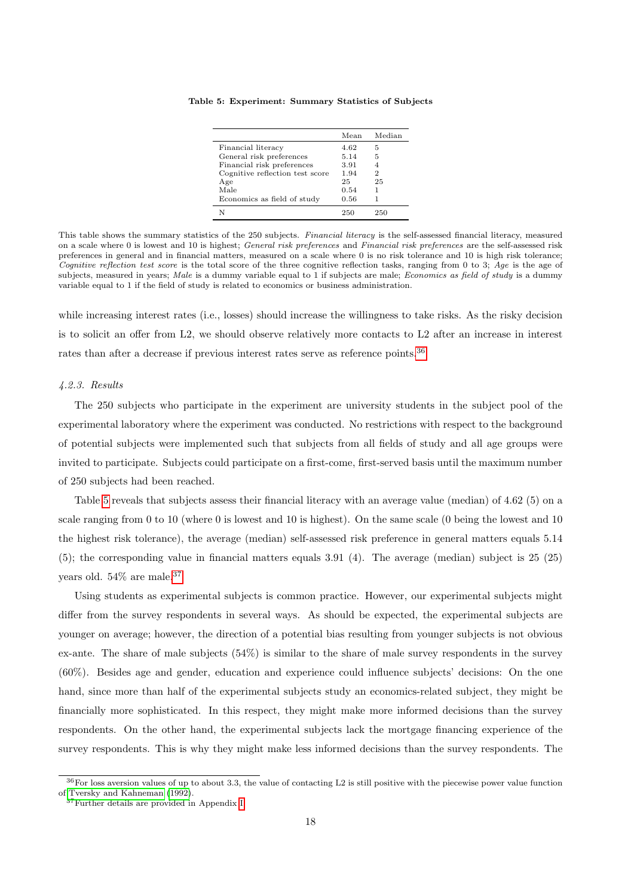|                                 | Mean | Median |
|---------------------------------|------|--------|
| Financial literacy              | 4.62 | 5      |
| General risk preferences        | 5.14 | 5      |
| Financial risk preferences      | 3.91 |        |
| Cognitive reflection test score | 1.94 | 2      |
| Age                             | 25   | 25     |
| Male                            | 0.54 |        |
| Economics as field of study     | 0.56 |        |
|                                 | 250  | 250    |

#### <span id="page-17-1"></span>Table 5: Experiment: Summary Statistics of Subjects

This table shows the summary statistics of the 250 subjects. Financial literacy is the self-assessed financial literacy, measured on a scale where 0 is lowest and 10 is highest; General risk preferences and Financial risk preferences are the self-assessed risk preferences in general and in financial matters, measured on a scale where 0 is no risk tolerance and 10 is high risk tolerance; Cognitive reflection test score is the total score of the three cognitive reflection tasks, ranging from 0 to 3; Age is the age of subjects, measured in years; Male is a dummy variable equal to 1 if subjects are male; Economics as field of study is a dummy variable equal to 1 if the field of study is related to economics or business administration.

while increasing interest rates (i.e., losses) should increase the willingness to take risks. As the risky decision is to solicit an offer from L2, we should observe relatively more contacts to L2 after an increase in interest rates than after a decrease if previous interest rates serve as reference points.[36](#page-17-0)

#### 4.2.3. Results

The 250 subjects who participate in the experiment are university students in the subject pool of the experimental laboratory where the experiment was conducted. No restrictions with respect to the background of potential subjects were implemented such that subjects from all fields of study and all age groups were invited to participate. Subjects could participate on a first-come, first-served basis until the maximum number of 250 subjects had been reached.

Table [5](#page-17-1) reveals that subjects assess their financial literacy with an average value (median) of 4.62 (5) on a scale ranging from 0 to 10 (where 0 is lowest and 10 is highest). On the same scale (0 being the lowest and 10 the highest risk tolerance), the average (median) self-assessed risk preference in general matters equals 5.14 (5); the corresponding value in financial matters equals 3.91 (4). The average (median) subject is 25 (25) years old. 54% are male.[37](#page-17-2)

Using students as experimental subjects is common practice. However, our experimental subjects might differ from the survey respondents in several ways. As should be expected, the experimental subjects are younger on average; however, the direction of a potential bias resulting from younger subjects is not obvious ex-ante. The share of male subjects (54%) is similar to the share of male survey respondents in the survey (60%). Besides age and gender, education and experience could influence subjects' decisions: On the one hand, since more than half of the experimental subjects study an economics-related subject, they might be financially more sophisticated. In this respect, they might make more informed decisions than the survey respondents. On the other hand, the experimental subjects lack the mortgage financing experience of the survey respondents. This is why they might make less informed decisions than the survey respondents. The

<span id="page-17-0"></span> $36$  For loss aversion values of up to about 3.3, the value of contacting L2 is still positive with the piecewise power value function of [Tversky and Kahneman](#page-25-32) [\(1992\)](#page-25-32).

<span id="page-17-2"></span><sup>37</sup>Further details are provided in Appendix [I.](#page-39-0)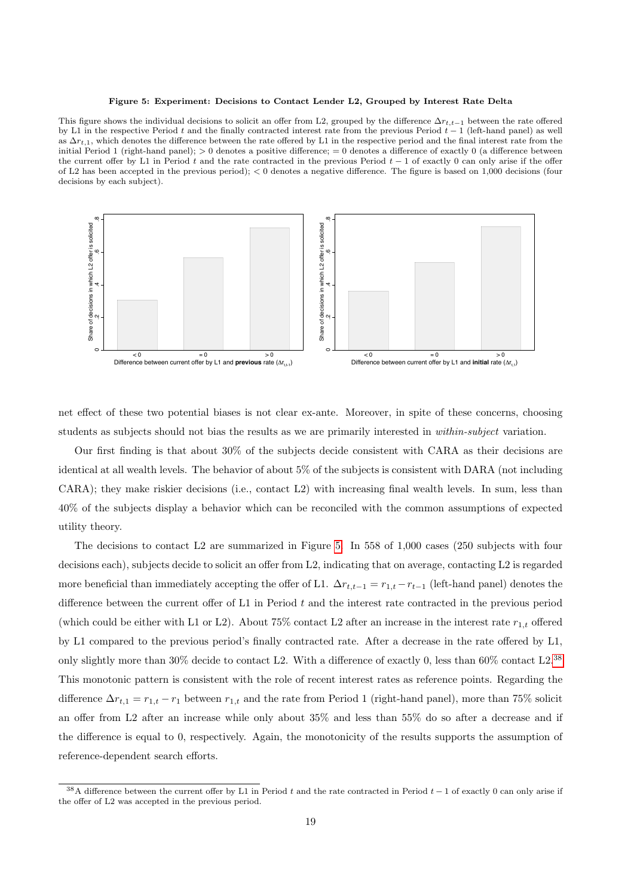#### Figure 5: Experiment: Decisions to Contact Lender L2, Grouped by Interest Rate Delta

<span id="page-18-0"></span>This figure shows the individual decisions to solicit an offer from L2, grouped by the difference  $\Delta r_{t,t-1}$  between the rate offered by L1 in the respective Period t and the finally contracted interest rate from the previous Period  $t - 1$  (left-hand panel) as well as  $\Delta r_{t,1}$ , which denotes the difference between the rate offered by L1 in the respective period and the final interest rate from the initial Period 1 (right-hand panel);  $> 0$  denotes a positive difference;  $= 0$  denotes a difference of exactly 0 (a difference between the current offer by L1 in Period t and the rate contracted in the previous Period  $t - 1$  of exactly 0 can only arise if the offer of L2 has been accepted in the previous period); < 0 denotes a negative difference. The figure is based on 1,000 decisions (four decisions by each subject).



net effect of these two potential biases is not clear ex-ante. Moreover, in spite of these concerns, choosing students as subjects should not bias the results as we are primarily interested in *within-subject* variation.

Our first finding is that about 30% of the subjects decide consistent with CARA as their decisions are identical at all wealth levels. The behavior of about 5% of the subjects is consistent with DARA (not including CARA); they make riskier decisions (i.e., contact L2) with increasing final wealth levels. In sum, less than 40% of the subjects display a behavior which can be reconciled with the common assumptions of expected utility theory.

The decisions to contact L2 are summarized in Figure [5.](#page-18-0) In 558 of 1,000 cases (250 subjects with four decisions each), subjects decide to solicit an offer from L2, indicating that on average, contacting L2 is regarded more beneficial than immediately accepting the offer of L1.  $\Delta r_{t,t-1} = r_{1,t} - r_{t-1}$  (left-hand panel) denotes the difference between the current offer of  $L1$  in Period t and the interest rate contracted in the previous period (which could be either with L1 or L2). About 75% contact L2 after an increase in the interest rate  $r_{1,t}$  offered by L1 compared to the previous period's finally contracted rate. After a decrease in the rate offered by L1, only slightly more than 30% decide to contact L2. With a difference of exactly 0, less than 60% contact L2.[38](#page-18-1) This monotonic pattern is consistent with the role of recent interest rates as reference points. Regarding the difference  $\Delta r_{t,1} = r_{1,t} - r_1$  between  $r_{1,t}$  and the rate from Period 1 (right-hand panel), more than 75% solicit an offer from L2 after an increase while only about 35% and less than 55% do so after a decrease and if the difference is equal to 0, respectively. Again, the monotonicity of the results supports the assumption of reference-dependent search efforts.

<span id="page-18-1"></span> $38A$  difference between the current offer by L1 in Period t and the rate contracted in Period t – 1 of exactly 0 can only arise if the offer of L2 was accepted in the previous period.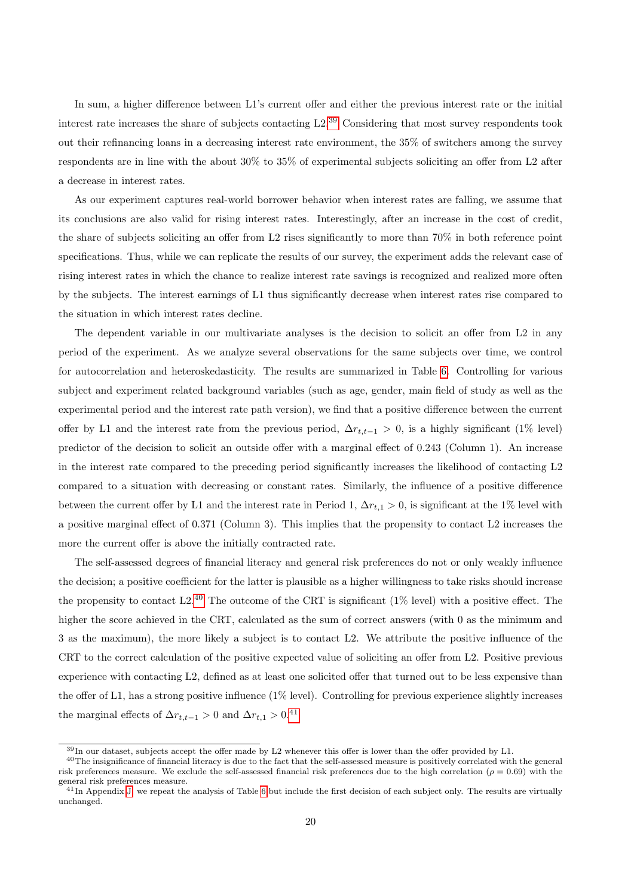In sum, a higher difference between L1's current offer and either the previous interest rate or the initial interest rate increases the share of subjects contacting L2.[39](#page-19-0) Considering that most survey respondents took out their refinancing loans in a decreasing interest rate environment, the 35% of switchers among the survey respondents are in line with the about 30% to 35% of experimental subjects soliciting an offer from L2 after a decrease in interest rates.

As our experiment captures real-world borrower behavior when interest rates are falling, we assume that its conclusions are also valid for rising interest rates. Interestingly, after an increase in the cost of credit, the share of subjects soliciting an offer from L2 rises significantly to more than 70% in both reference point specifications. Thus, while we can replicate the results of our survey, the experiment adds the relevant case of rising interest rates in which the chance to realize interest rate savings is recognized and realized more often by the subjects. The interest earnings of L1 thus significantly decrease when interest rates rise compared to the situation in which interest rates decline.

The dependent variable in our multivariate analyses is the decision to solicit an offer from L2 in any period of the experiment. As we analyze several observations for the same subjects over time, we control for autocorrelation and heteroskedasticity. The results are summarized in Table [6.](#page-20-1) Controlling for various subject and experiment related background variables (such as age, gender, main field of study as well as the experimental period and the interest rate path version), we find that a positive difference between the current offer by L1 and the interest rate from the previous period,  $\Delta r_{t,t-1} > 0$ , is a highly significant (1% level) predictor of the decision to solicit an outside offer with a marginal effect of 0.243 (Column 1). An increase in the interest rate compared to the preceding period significantly increases the likelihood of contacting L2 compared to a situation with decreasing or constant rates. Similarly, the influence of a positive difference between the current offer by L1 and the interest rate in Period 1,  $\Delta r_{t,1} > 0$ , is significant at the 1% level with a positive marginal effect of 0.371 (Column 3). This implies that the propensity to contact L2 increases the more the current offer is above the initially contracted rate.

The self-assessed degrees of financial literacy and general risk preferences do not or only weakly influence the decision; a positive coefficient for the latter is plausible as a higher willingness to take risks should increase the propensity to contact  $L2^{40}$  $L2^{40}$  $L2^{40}$  The outcome of the CRT is significant (1% level) with a positive effect. The higher the score achieved in the CRT, calculated as the sum of correct answers (with 0 as the minimum and 3 as the maximum), the more likely a subject is to contact L2. We attribute the positive influence of the CRT to the correct calculation of the positive expected value of soliciting an offer from L2. Positive previous experience with contacting L2, defined as at least one solicited offer that turned out to be less expensive than the offer of L1, has a strong positive influence (1% level). Controlling for previous experience slightly increases the marginal effects of  $\Delta r_{t,t-1} > 0$  and  $\Delta r_{t,1} > 0$ .<sup>[41](#page-19-2)</sup>

<span id="page-19-1"></span><span id="page-19-0"></span><sup>39</sup>In our dataset, subjects accept the offer made by L2 whenever this offer is lower than the offer provided by L1.

<sup>&</sup>lt;sup>40</sup>The insignificance of financial literacy is due to the fact that the self-assessed measure is positively correlated with the general risk preferences measure. We exclude the self-assessed financial risk preferences due to the high correlation ( $\rho = 0.69$ ) with the general risk preferences measure.

<span id="page-19-2"></span> $41$ In Appendix [J,](#page-40-0) we repeat the analysis of Table [6](#page-20-1) but include the first decision of each subject only. The results are virtually unchanged.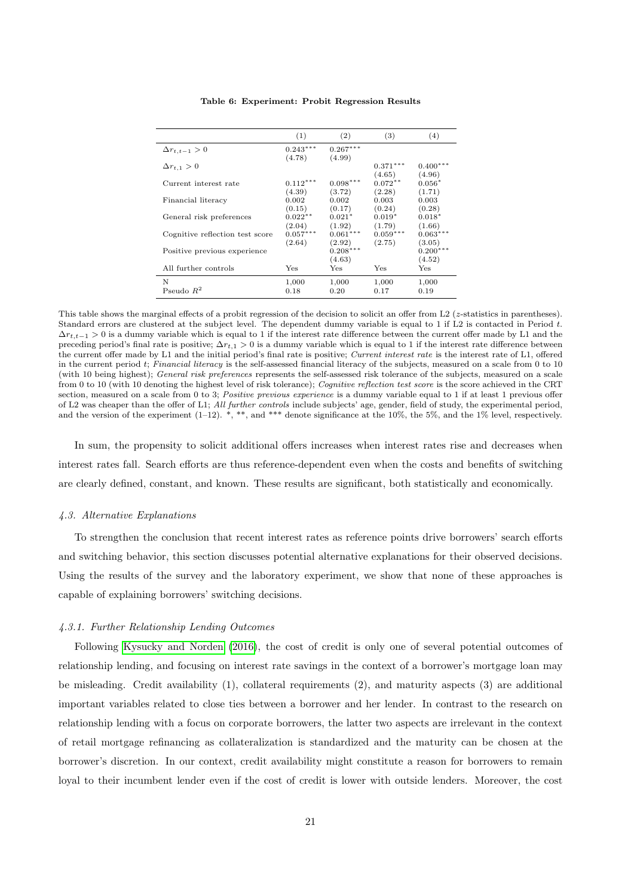<span id="page-20-1"></span>

| (1)        | (2)                                                    | (3)                                                    | (4)                                                    |
|------------|--------------------------------------------------------|--------------------------------------------------------|--------------------------------------------------------|
| $0.243***$ | $0.267***$                                             |                                                        |                                                        |
|            |                                                        | $0.371***$                                             | $0.400***$<br>(4.96)                                   |
| $0.112***$ | $0.098***$                                             | $0.072**$                                              | $0.056*$<br>(1.71)                                     |
| 0.002      | 0.002                                                  | 0.003                                                  | 0.003<br>(0.28)                                        |
| $0.022**$  | $0.021*$                                               | $0.019*$                                               | $0.018*$<br>(1.66)                                     |
| $0.057***$ | $0.061***$                                             | $0.059***$                                             | $0.063***$<br>(3.05)                                   |
|            | $0.208***$<br>(4.63)                                   |                                                        | $0.200***$<br>(4.52)                                   |
| Yes        | Yes                                                    | Yes                                                    | Yes                                                    |
| 1,000      | 1,000                                                  | 1,000                                                  | 1,000<br>0.19                                          |
|            | (4.78)<br>(4.39)<br>(0.15)<br>(2.04)<br>(2.64)<br>0.18 | (4.99)<br>(3.72)<br>(0.17)<br>(1.92)<br>(2.92)<br>0.20 | (4.65)<br>(2.28)<br>(0.24)<br>(1.79)<br>(2.75)<br>0.17 |

Table 6: Experiment: Probit Regression Results

This table shows the marginal effects of a probit regression of the decision to solicit an offer from L2 (z-statistics in parentheses). Standard errors are clustered at the subject level. The dependent dummy variable is equal to 1 if L2 is contacted in Period t.  $\Delta r_{t,t-1} > 0$  is a dummy variable which is equal to 1 if the interest rate difference between the current offer made by L1 and the preceding period's final rate is positive;  $\Delta r_{t,1} > 0$  is a dummy variable which is equal to 1 if the interest rate difference between the current offer made by L1 and the initial period's final rate is positive; Current interest rate is the interest rate of L1, offered in the current period t; Financial literacy is the self-assessed financial literacy of the subjects, measured on a scale from 0 to 10 (with 10 being highest); General risk preferences represents the self-assessed risk tolerance of the subjects, measured on a scale from 0 to 10 (with 10 denoting the highest level of risk tolerance); Cognitive reflection test score is the score achieved in the CRT section, measured on a scale from 0 to 3; Positive previous experience is a dummy variable equal to 1 if at least 1 previous offer of L2 was cheaper than the offer of L1; All further controls include subjects' age, gender, field of study, the experimental period, and the version of the experiment  $(1-12)$ , \*, \*\*, and \*\*\* denote significance at the 10%, the 5%, and the 1% level, respectively.

In sum, the propensity to solicit additional offers increases when interest rates rise and decreases when interest rates fall. Search efforts are thus reference-dependent even when the costs and benefits of switching are clearly defined, constant, and known. These results are significant, both statistically and economically.

#### <span id="page-20-0"></span>4.3. Alternative Explanations

To strengthen the conclusion that recent interest rates as reference points drive borrowers' search efforts and switching behavior, this section discusses potential alternative explanations for their observed decisions. Using the results of the survey and the laboratory experiment, we show that none of these approaches is capable of explaining borrowers' switching decisions.

#### 4.3.1. Further Relationship Lending Outcomes

Following [Kysucky and Norden](#page-25-11) [\(2016\)](#page-25-11), the cost of credit is only one of several potential outcomes of relationship lending, and focusing on interest rate savings in the context of a borrower's mortgage loan may be misleading. Credit availability (1), collateral requirements (2), and maturity aspects (3) are additional important variables related to close ties between a borrower and her lender. In contrast to the research on relationship lending with a focus on corporate borrowers, the latter two aspects are irrelevant in the context of retail mortgage refinancing as collateralization is standardized and the maturity can be chosen at the borrower's discretion. In our context, credit availability might constitute a reason for borrowers to remain loyal to their incumbent lender even if the cost of credit is lower with outside lenders. Moreover, the cost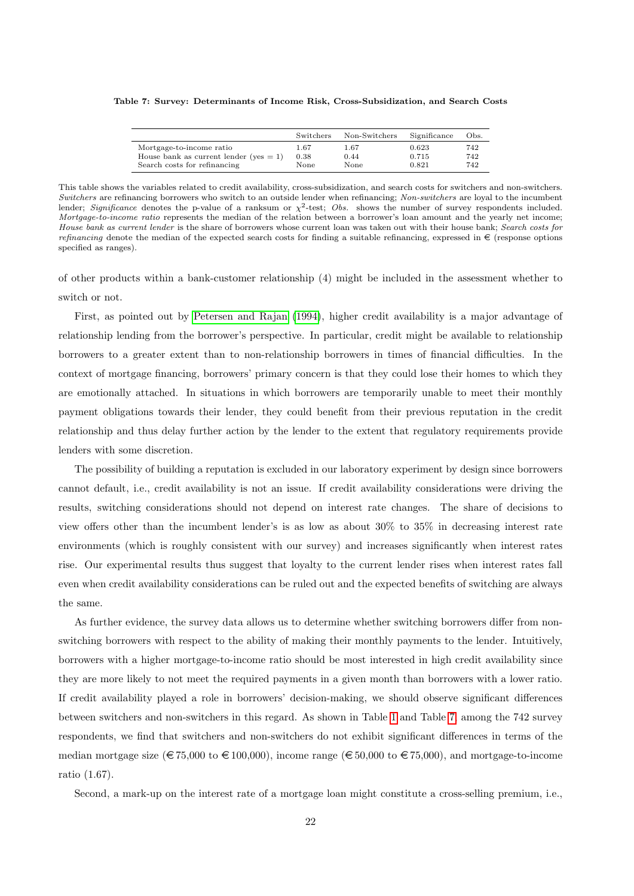### <span id="page-21-0"></span>Table 7: Survey: Determinants of Income Risk, Cross-Subsidization, and Search Costs

|                                           | Switchers | Non-Switchers | Significance | Obs. |
|-------------------------------------------|-----------|---------------|--------------|------|
| Mortgage-to-income ratio                  | 1.67      | 1.67          | 0.623        | 742  |
| House bank as current lender (yes $= 1$ ) | 0.38      | 0.44          | 0.715        | 742  |
| Search costs for refinancing              | None      | None          | 0.821        | 742  |

This table shows the variables related to credit availability, cross-subsidization, and search costs for switchers and non-switchers. Switchers are refinancing borrowers who switch to an outside lender when refinancing; Non-switchers are loyal to the incumbent lender; Significance denotes the p-value of a ranksum or  $\chi^2$ -test; Obs. shows the number of survey respondents included. Mortgage-to-income ratio represents the median of the relation between a borrower's loan amount and the yearly net income; House bank as current lender is the share of borrowers whose current loan was taken out with their house bank; Search costs for *refinancing* denote the median of the expected search costs for finding a suitable refinancing, expressed in  $\epsilon$  (response options specified as ranges).

of other products within a bank-customer relationship (4) might be included in the assessment whether to switch or not.

First, as pointed out by [Petersen and Rajan](#page-25-0) [\(1994\)](#page-25-0), higher credit availability is a major advantage of relationship lending from the borrower's perspective. In particular, credit might be available to relationship borrowers to a greater extent than to non-relationship borrowers in times of financial difficulties. In the context of mortgage financing, borrowers' primary concern is that they could lose their homes to which they are emotionally attached. In situations in which borrowers are temporarily unable to meet their monthly payment obligations towards their lender, they could benefit from their previous reputation in the credit relationship and thus delay further action by the lender to the extent that regulatory requirements provide lenders with some discretion.

The possibility of building a reputation is excluded in our laboratory experiment by design since borrowers cannot default, i.e., credit availability is not an issue. If credit availability considerations were driving the results, switching considerations should not depend on interest rate changes. The share of decisions to view offers other than the incumbent lender's is as low as about 30% to 35% in decreasing interest rate environments (which is roughly consistent with our survey) and increases significantly when interest rates rise. Our experimental results thus suggest that loyalty to the current lender rises when interest rates fall even when credit availability considerations can be ruled out and the expected benefits of switching are always the same.

As further evidence, the survey data allows us to determine whether switching borrowers differ from nonswitching borrowers with respect to the ability of making their monthly payments to the lender. Intuitively, borrowers with a higher mortgage-to-income ratio should be most interested in high credit availability since they are more likely to not meet the required payments in a given month than borrowers with a lower ratio. If credit availability played a role in borrowers' decision-making, we should observe significant differences between switchers and non-switchers in this regard. As shown in Table [1](#page-7-0) and Table [7,](#page-21-0) among the 742 survey respondents, we find that switchers and non-switchers do not exhibit significant differences in terms of the median mortgage size ( $\in 75,000$  to  $\in 100,000$ ), income range ( $\in 50,000$  to  $\in 75,000$ ), and mortgage-to-income ratio (1.67).

Second, a mark-up on the interest rate of a mortgage loan might constitute a cross-selling premium, i.e.,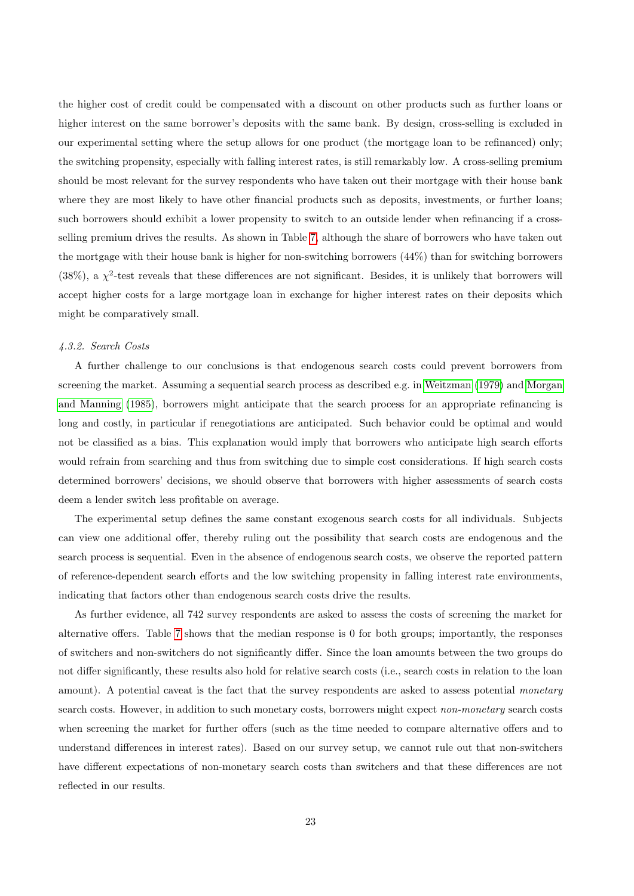the higher cost of credit could be compensated with a discount on other products such as further loans or higher interest on the same borrower's deposits with the same bank. By design, cross-selling is excluded in our experimental setting where the setup allows for one product (the mortgage loan to be refinanced) only; the switching propensity, especially with falling interest rates, is still remarkably low. A cross-selling premium should be most relevant for the survey respondents who have taken out their mortgage with their house bank where they are most likely to have other financial products such as deposits, investments, or further loans; such borrowers should exhibit a lower propensity to switch to an outside lender when refinancing if a crossselling premium drives the results. As shown in Table [7,](#page-21-0) although the share of borrowers who have taken out the mortgage with their house bank is higher for non-switching borrowers (44%) than for switching borrowers  $(38\%)$ , a  $\chi^2$ -test reveals that these differences are not significant. Besides, it is unlikely that borrowers will accept higher costs for a large mortgage loan in exchange for higher interest rates on their deposits which might be comparatively small.

## 4.3.2. Search Costs

A further challenge to our conclusions is that endogenous search costs could prevent borrowers from screening the market. Assuming a sequential search process as described e.g. in [Weitzman](#page-26-5) [\(1979\)](#page-26-5) and [Morgan](#page-25-36) [and Manning](#page-25-36) [\(1985\)](#page-25-36), borrowers might anticipate that the search process for an appropriate refinancing is long and costly, in particular if renegotiations are anticipated. Such behavior could be optimal and would not be classified as a bias. This explanation would imply that borrowers who anticipate high search efforts would refrain from searching and thus from switching due to simple cost considerations. If high search costs determined borrowers' decisions, we should observe that borrowers with higher assessments of search costs deem a lender switch less profitable on average.

The experimental setup defines the same constant exogenous search costs for all individuals. Subjects can view one additional offer, thereby ruling out the possibility that search costs are endogenous and the search process is sequential. Even in the absence of endogenous search costs, we observe the reported pattern of reference-dependent search efforts and the low switching propensity in falling interest rate environments, indicating that factors other than endogenous search costs drive the results.

As further evidence, all 742 survey respondents are asked to assess the costs of screening the market for alternative offers. Table [7](#page-21-0) shows that the median response is 0 for both groups; importantly, the responses of switchers and non-switchers do not significantly differ. Since the loan amounts between the two groups do not differ significantly, these results also hold for relative search costs (i.e., search costs in relation to the loan amount). A potential caveat is the fact that the survey respondents are asked to assess potential monetary search costs. However, in addition to such monetary costs, borrowers might expect non-monetary search costs when screening the market for further offers (such as the time needed to compare alternative offers and to understand differences in interest rates). Based on our survey setup, we cannot rule out that non-switchers have different expectations of non-monetary search costs than switchers and that these differences are not reflected in our results.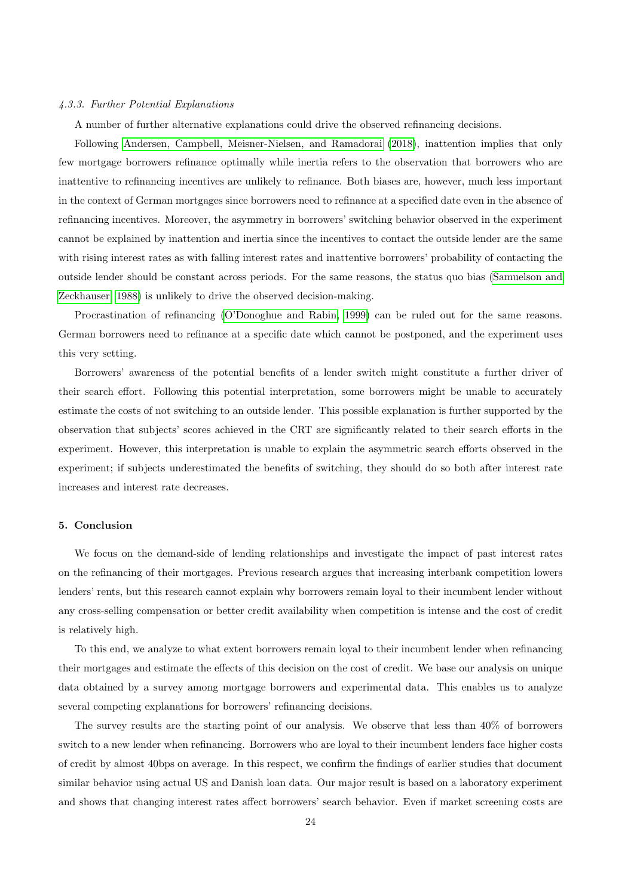### 4.3.3. Further Potential Explanations

A number of further alternative explanations could drive the observed refinancing decisions.

Following [Andersen, Campbell, Meisner-Nielsen, and Ramadorai](#page-25-7) [\(2018\)](#page-25-7), inattention implies that only few mortgage borrowers refinance optimally while inertia refers to the observation that borrowers who are inattentive to refinancing incentives are unlikely to refinance. Both biases are, however, much less important in the context of German mortgages since borrowers need to refinance at a specified date even in the absence of refinancing incentives. Moreover, the asymmetry in borrowers' switching behavior observed in the experiment cannot be explained by inattention and inertia since the incentives to contact the outside lender are the same with rising interest rates as with falling interest rates and inattentive borrowers' probability of contacting the outside lender should be constant across periods. For the same reasons, the status quo bias [\(Samuelson and](#page-25-37) [Zeckhauser, 1988\)](#page-25-37) is unlikely to drive the observed decision-making.

Procrastination of refinancing [\(O'Donoghue and Rabin, 1999\)](#page-25-38) can be ruled out for the same reasons. German borrowers need to refinance at a specific date which cannot be postponed, and the experiment uses this very setting.

Borrowers' awareness of the potential benefits of a lender switch might constitute a further driver of their search effort. Following this potential interpretation, some borrowers might be unable to accurately estimate the costs of not switching to an outside lender. This possible explanation is further supported by the observation that subjects' scores achieved in the CRT are significantly related to their search efforts in the experiment. However, this interpretation is unable to explain the asymmetric search efforts observed in the experiment; if subjects underestimated the benefits of switching, they should do so both after interest rate increases and interest rate decreases.

## <span id="page-23-0"></span>5. Conclusion

We focus on the demand-side of lending relationships and investigate the impact of past interest rates on the refinancing of their mortgages. Previous research argues that increasing interbank competition lowers lenders' rents, but this research cannot explain why borrowers remain loyal to their incumbent lender without any cross-selling compensation or better credit availability when competition is intense and the cost of credit is relatively high.

To this end, we analyze to what extent borrowers remain loyal to their incumbent lender when refinancing their mortgages and estimate the effects of this decision on the cost of credit. We base our analysis on unique data obtained by a survey among mortgage borrowers and experimental data. This enables us to analyze several competing explanations for borrowers' refinancing decisions.

The survey results are the starting point of our analysis. We observe that less than 40% of borrowers switch to a new lender when refinancing. Borrowers who are loyal to their incumbent lenders face higher costs of credit by almost 40bps on average. In this respect, we confirm the findings of earlier studies that document similar behavior using actual US and Danish loan data. Our major result is based on a laboratory experiment and shows that changing interest rates affect borrowers' search behavior. Even if market screening costs are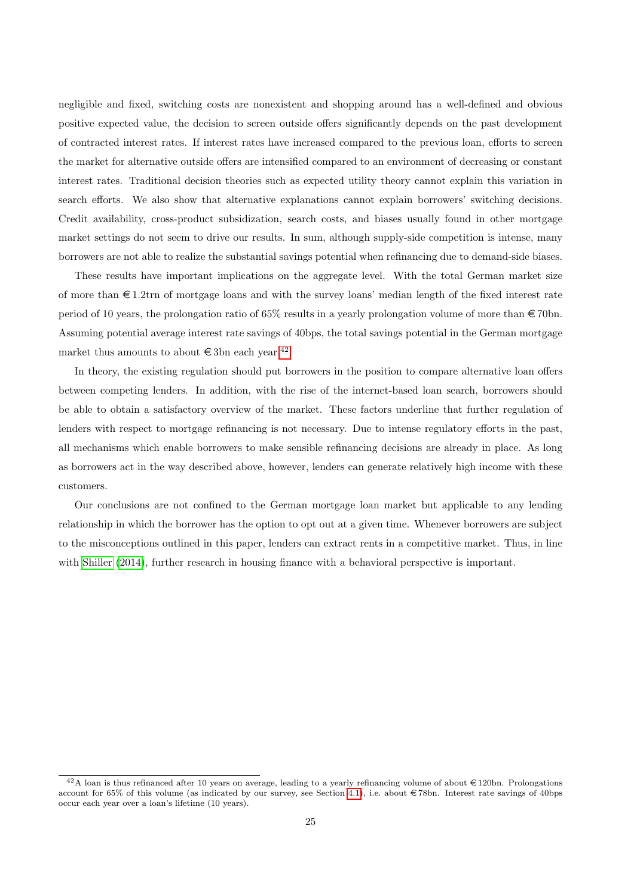negligible and fixed, switching costs are nonexistent and shopping around has a well-defined and obvious positive expected value, the decision to screen outside offers significantly depends on the past development of contracted interest rates. If interest rates have increased compared to the previous loan, efforts to screen the market for alternative outside offers are intensified compared to an environment of decreasing or constant interest rates. Traditional decision theories such as expected utility theory cannot explain this variation in search efforts. We also show that alternative explanations cannot explain borrowers' switching decisions. Credit availability, cross-product subsidization, search costs, and biases usually found in other mortgage market settings do not seem to drive our results. In sum, although supply-side competition is intense, many borrowers are not able to realize the substantial savings potential when refinancing due to demand-side biases.

These results have important implications on the aggregate level. With the total German market size of more than  $\epsilon$  1.2trn of mortgage loans and with the survey loans' median length of the fixed interest rate period of 10 years, the prolongation ratio of 65% results in a yearly prolongation volume of more than  $\in$  70bn. Assuming potential average interest rate savings of 40bps, the total savings potential in the German mortgage market thus amounts to about  $\in$  3bn each year.<sup>[42](#page-24-0)</sup>

In theory, the existing regulation should put borrowers in the position to compare alternative loan offers between competing lenders. In addition, with the rise of the internet-based loan search, borrowers should be able to obtain a satisfactory overview of the market. These factors underline that further regulation of lenders with respect to mortgage refinancing is not necessary. Due to intense regulatory efforts in the past, all mechanisms which enable borrowers to make sensible refinancing decisions are already in place. As long as borrowers act in the way described above, however, lenders can generate relatively high income with these customers.

Our conclusions are not confined to the German mortgage loan market but applicable to any lending relationship in which the borrower has the option to opt out at a given time. Whenever borrowers are subject to the misconceptions outlined in this paper, lenders can extract rents in a competitive market. Thus, in line with [Shiller](#page-25-12) [\(2014\)](#page-25-12), further research in housing finance with a behavioral perspective is important.

<span id="page-24-0"></span><sup>&</sup>lt;sup>42</sup>A loan is thus refinanced after 10 years on average, leading to a yearly refinancing volume of about  $\in$  120bn. Prolongations account for 65% of this volume (as indicated by our survey, see Section [4.1\)](#page-6-2), i.e. about  $\epsilon$ 78bn. Interest rate savings of 40bps occur each year over a loan's lifetime (10 years).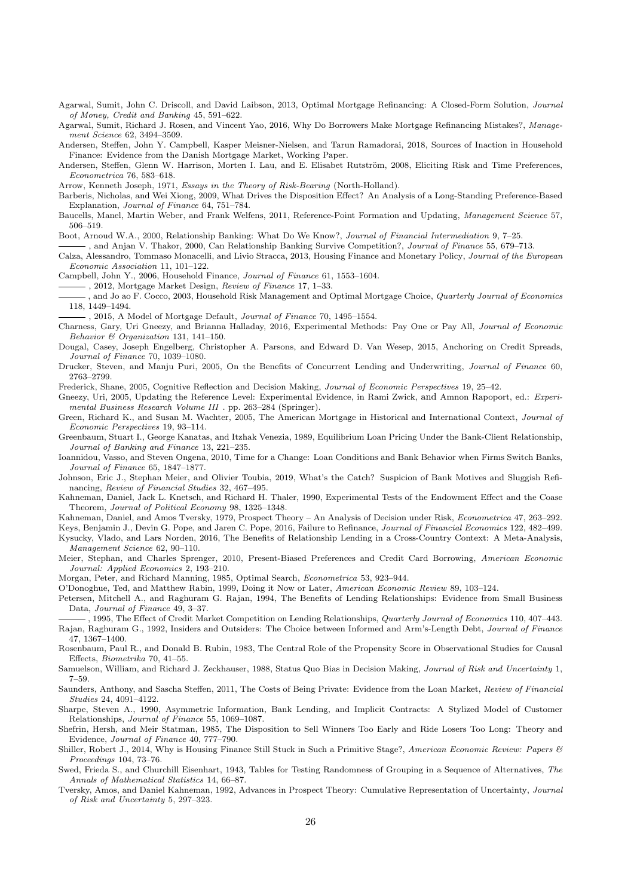<span id="page-25-16"></span>Agarwal, Sumit, John C. Driscoll, and David Laibson, 2013, Optimal Mortgage Refinancing: A Closed-Form Solution, Journal of Money, Credit and Banking 45, 591–622.

<span id="page-25-6"></span>Agarwal, Sumit, Richard J. Rosen, and Vincent Yao, 2016, Why Do Borrowers Make Mortgage Refinancing Mistakes?, Management Science 62, 3494–3509.

<span id="page-25-7"></span>Andersen, Steffen, John Y. Campbell, Kasper Meisner-Nielsen, and Tarun Ramadorai, 2018, Sources of Inaction in Household Finance: Evidence from the Danish Mortgage Market, Working Paper.

<span id="page-25-23"></span>Andersen, Steffen, Glenn W. Harrison, Morten I. Lau, and E. Elisabet Rutström, 2008, Eliciting Risk and Time Preferences, Econometrica 76, 583–618.

<span id="page-25-30"></span>Arrow, Kenneth Joseph, 1971, Essays in the Theory of Risk-Bearing (North-Holland).

<span id="page-25-35"></span>Barberis, Nicholas, and Wei Xiong, 2009, What Drives the Disposition Effect? An Analysis of a Long-Standing Preference-Based Explanation, Journal of Finance 64, 751–784.

<span id="page-25-25"></span>Baucells, Manel, Martin Weber, and Frank Welfens, 2011, Reference-Point Formation and Updating, Management Science 57, 506–519.

<span id="page-25-2"></span>Boot, Arnoud W.A., 2000, Relationship Banking: What Do We Know?, Journal of Financial Intermediation 9, 7–25.

<span id="page-25-19"></span><span id="page-25-10"></span>, and Anjan V. Thakor, 2000, Can Relationship Banking Survive Competition?, Journal of Finance 55, 679–713. Calza, Alessandro, Tommaso Monacelli, and Livio Stracca, 2013, Housing Finance and Monetary Policy, Journal of the European

Economic Association 11, 101–122.

<span id="page-25-13"></span><span id="page-25-5"></span>Campbell, John Y., 2006, Household Finance, Journal of Finance 61, 1553–1604.

, 2012, Mortgage Market Design, Review of Finance 17, 1–33.

<span id="page-25-14"></span>, and Jo ao F. Cocco, 2003, Household Risk Management and Optimal Mortgage Choice, *Quarterly Journal of Economics* 118, 1449–1494.

<span id="page-25-15"></span>-, 2015, A Model of Mortgage Default, Journal of Finance 70, 1495-1554.

<span id="page-25-21"></span>Charness, Gary, Uri Gneezy, and Brianna Halladay, 2016, Experimental Methods: Pay One or Pay All, Journal of Economic Behavior & Organization 131, 141–150.

<span id="page-25-33"></span>Dougal, Casey, Joseph Engelberg, Christopher A. Parsons, and Edward D. Van Wesep, 2015, Anchoring on Credit Spreads, Journal of Finance 70, 1039–1080.

<span id="page-25-39"></span>Drucker, Steven, and Manju Puri, 2005, On the Benefits of Concurrent Lending and Underwriting, Journal of Finance 60, 2763–2799.

<span id="page-25-26"></span>Frederick, Shane, 2005, Cognitive Reflection and Decision Making, Journal of Economic Perspectives 19, 25–42.

<span id="page-25-27"></span>Gneezy, Uri, 2005, Updating the Reference Level: Experimental Evidence, in Rami Zwick, and Amnon Rapoport, ed.: Experimental Business Research Volume III . pp. 263–284 (Springer).

<span id="page-25-18"></span>Green, Richard K., and Susan M. Wachter, 2005, The American Mortgage in Historical and International Context, Journal of Economic Perspectives 19, 93–114.

<span id="page-25-29"></span>Greenbaum, Stuart I., George Kanatas, and Itzhak Venezia, 1989, Equilibrium Loan Pricing Under the Bank-Client Relationship, Journal of Banking and Finance 13, 221–235.

<span id="page-25-9"></span>Ioannidou, Vasso, and Steven Ongena, 2010, Time for a Change: Loan Conditions and Bank Behavior when Firms Switch Banks, Journal of Finance 65, 1847–1877.

<span id="page-25-8"></span>Johnson, Eric J., Stephan Meier, and Olivier Toubia, 2019, What's the Catch? Suspicion of Bank Motives and Sluggish Refinancing, Review of Financial Studies 32, 467–495.

<span id="page-25-22"></span>Kahneman, Daniel, Jack L. Knetsch, and Richard H. Thaler, 1990, Experimental Tests of the Endowment Effect and the Coase Theorem, Journal of Political Economy 98, 1325–1348.

<span id="page-25-31"></span>Kahneman, Daniel, and Amos Tversky, 1979, Prospect Theory – An Analysis of Decision under Risk, Econometrica 47, 263–292.

<span id="page-25-17"></span><span id="page-25-11"></span>Keys, Benjamin J., Devin G. Pope, and Jaren C. Pope, 2016, Failure to Refinance, Journal of Financial Economics 122, 482–499. Kysucky, Vlado, and Lars Norden, 2016, The Benefits of Relationship Lending in a Cross-Country Context: A Meta-Analysis, Management Science 62, 90–110.

<span id="page-25-24"></span>Meier, Stephan, and Charles Sprenger, 2010, Present-Biased Preferences and Credit Card Borrowing, American Economic Journal: Applied Economics 2, 193–210.

<span id="page-25-36"></span>Morgan, Peter, and Richard Manning, 1985, Optimal Search, Econometrica 53, 923–944.

<span id="page-25-38"></span>O'Donoghue, Ted, and Matthew Rabin, 1999, Doing it Now or Later, American Economic Review 89, 103–124.

<span id="page-25-0"></span>Petersen, Mitchell A., and Raghuram G. Rajan, 1994, The Benefits of Lending Relationships: Evidence from Small Business Data, Journal of Finance 49, 3–37.

<span id="page-25-4"></span><span id="page-25-1"></span>, 1995, The Effect of Credit Market Competition on Lending Relationships, Quarterly Journal of Economics 110, 407–443. Rajan, Raghuram G., 1992, Insiders and Outsiders: The Choice between Informed and Arm's-Length Debt, Journal of Finance 47, 1367–1400.

<span id="page-25-20"></span>Rosenbaum, Paul R., and Donald B. Rubin, 1983, The Central Role of the Propensity Score in Observational Studies for Causal Effects, Biometrika 70, 41–55.

<span id="page-25-37"></span>Samuelson, William, and Richard J. Zeckhauser, 1988, Status Quo Bias in Decision Making, Journal of Risk and Uncertainty 1, 7–59.

<span id="page-25-40"></span>Saunders, Anthony, and Sascha Steffen, 2011, The Costs of Being Private: Evidence from the Loan Market, Review of Financial Studies 24, 4091–4122.

<span id="page-25-3"></span>Sharpe, Steven A., 1990, Asymmetric Information, Bank Lending, and Implicit Contracts: A Stylized Model of Customer Relationships, Journal of Finance 55, 1069–1087.

<span id="page-25-34"></span>Shefrin, Hersh, and Meir Statman, 1985, The Disposition to Sell Winners Too Early and Ride Losers Too Long: Theory and Evidence, Journal of Finance 40, 777–790.

<span id="page-25-12"></span>Shiller, Robert J., 2014, Why is Housing Finance Still Stuck in Such a Primitive Stage?, American Economic Review: Papers & Proceedings 104, 73–76.

<span id="page-25-28"></span>Swed, Frieda S., and Churchill Eisenhart, 1943, Tables for Testing Randomness of Grouping in a Sequence of Alternatives, The Annals of Mathematical Statistics 14, 66–87.

<span id="page-25-32"></span>Tversky, Amos, and Daniel Kahneman, 1992, Advances in Prospect Theory: Cumulative Representation of Uncertainty, Journal of Risk and Uncertainty 5, 297–323.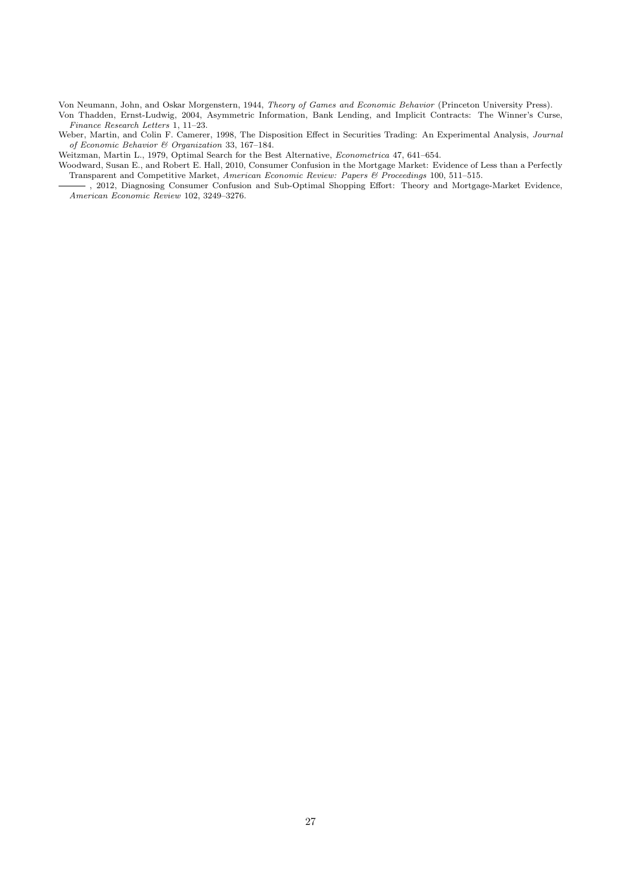<span id="page-26-3"></span>Von Neumann, John, and Oskar Morgenstern, 1944, Theory of Games and Economic Behavior (Princeton University Press).

<span id="page-26-0"></span>Von Thadden, Ernst-Ludwig, 2004, Asymmetric Information, Bank Lending, and Implicit Contracts: The Winner's Curse, Finance Research Letters 1, 11–23.

<span id="page-26-4"></span>Weber, Martin, and Colin F. Camerer, 1998, The Disposition Effect in Securities Trading: An Experimental Analysis, Journal of Economic Behavior & Organization 33, 167–184.

<span id="page-26-5"></span>Weitzman, Martin L., 1979, Optimal Search for the Best Alternative, Econometrica 47, 641–654.

<span id="page-26-2"></span><span id="page-26-1"></span>Woodward, Susan E., and Robert E. Hall, 2010, Consumer Confusion in the Mortgage Market: Evidence of Less than a Perfectly Transparent and Competitive Market, American Economic Review: Papers & Proceedings 100, 511–515.

, 2012, Diagnosing Consumer Confusion and Sub-Optimal Shopping Effort: Theory and Mortgage-Market Evidence, American Economic Review 102, 3249–3276.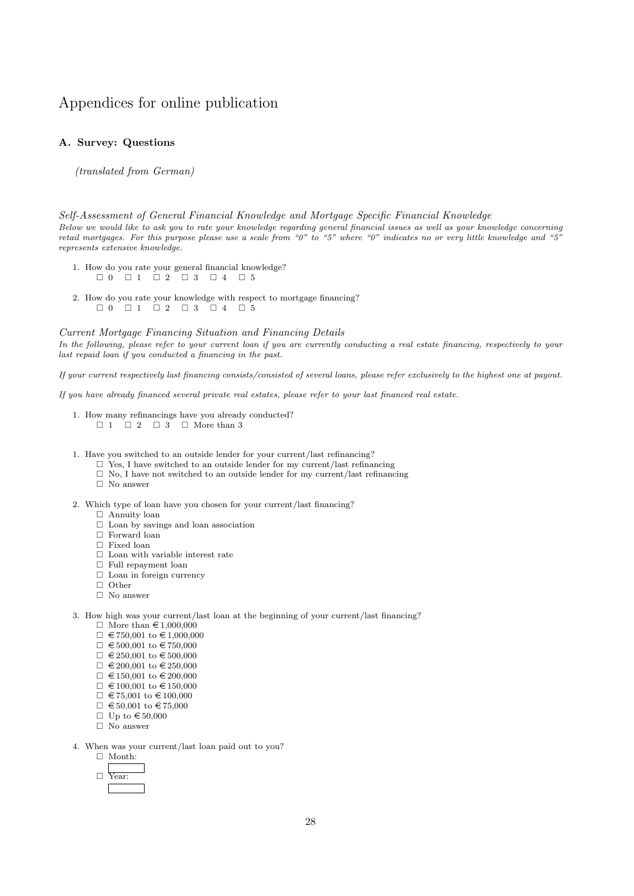# Appendices for online publication

#### <span id="page-27-0"></span>A. Survey: Questions

(translated from German)

Self-Assessment of General Financial Knowledge and Mortgage Specific Financial Knowledge Below we would like to ask you to rate your knowledge regarding general financial issues as well as your knowledge concerning retail mortgages. For this purpose please use a scale from "0" to "5" where "0" indicates no or very little knowledge and "5" represents extensive knowledge.

- 1. How do you rate your general financial knowledge?  $\Box$  0  $\Box$  1  $\Box$  2  $\Box$  3  $\Box$  4  $\Box$  5
- 2. How do you rate your knowledge with respect to mortgage financing?  $\Box$  0  $\Box$  1  $\Box$  2  $\Box$  3  $\Box$  4  $\Box$  5

## Current Mortgage Financing Situation and Financing Details

In the following, please refer to your current loan if you are currently conducting a real estate financing, respectively to your last repaid loan if you conducted a financing in the past.

If your current respectively last financing consists/consisted of several loans, please refer exclusively to the highest one at payout.

If you have already financed several private real estates, please refer to your last financed real estate.

- 1. How many refinancings have you already conducted?  $\Box$  1  $\Box$  2  $\Box$  3  $\Box$  More than 3
- 1. Have you switched to an outside lender for your current/last refinancing?
	- $\square$  Yes, I have switched to an outside lender for my current/last refinancing
	- $\Box$  No, I have not switched to an outside lender for my current/last refinancing
	- $\Box$  No answer
- 2. Which type of loan have you chosen for your current/last financing?
	- Annuity loan
	- $\Box$  Loan by savings and loan association
	- Forward loan
	- $\Box$  Fixed loan
	- $\Box$  Loan with variable interest rate
	- $\Box$  Full repayment loan
	- Loan in foreign currency
	- Other
	- $\hfill\Box\;$  No answer
- 3. How high was your current/last loan at the beginning of your current/last financing?
	- $\Box$  More than  $\in$  1,000,000
	- $\Box \in 750,001$  to  $\in 1,000,000$
	- $\Box \in 500,001$  to  $\in 750,000$
	- $\Box \in 250,001$  to  $\in 500,000$
	- $\Box \in 200,001$  to  $\in 250,000$
	- $\Box \in 150,001$  to  $\in 200,000$
	- $\Box \in 100,001$  to  $\in 150,000$
	- $\Box \in 75,001$  to  $\in 100,000$
	- $\Box\ \in$  50,001 to  $\in$  75,000
	- $\Box$  Up to  $\in$  50,000 No answer
	-
- 4. When was your current/last loan paid out to you?
	- □ Month:

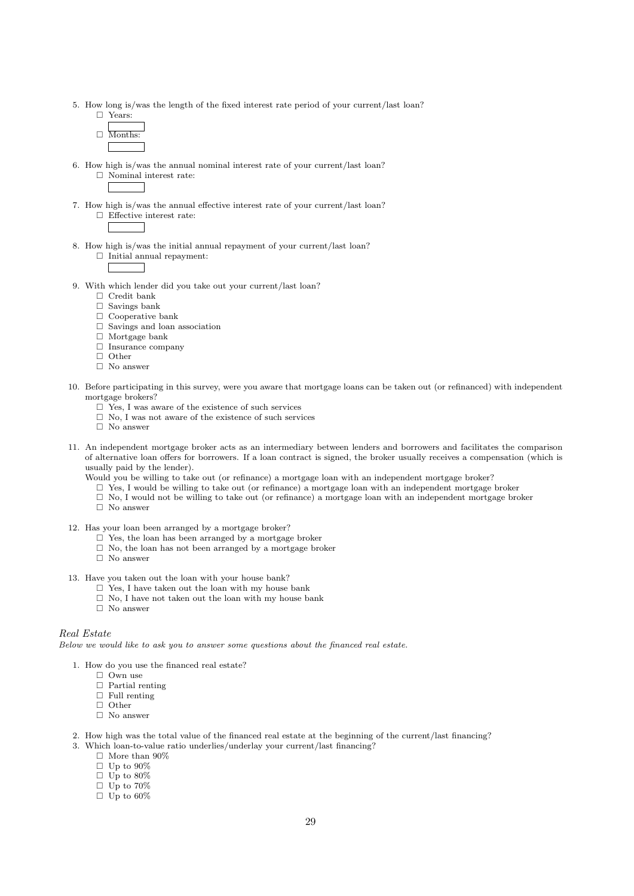- 5. How long is/was the length of the fixed interest rate period of your current/last loan?
	- Years:  $\Box$  Months:
- 6. How high is/was the annual nominal interest rate of your current/last loan?  $\hfill\Box$  Nominal interest rate:
- 7. How high is/was the annual effective interest rate of your current/last loan?  $\Box$  Effective interest rate:
- 8. How high is/was the initial annual repayment of your current/last loan?  $\Box$  Initial annual repayment:
- 9. With which lender did you take out your current/last loan?
	- $\Box$  Credit bank
	- $\Box~$  Savings bank
	- $\Box$  Cooperative bank
	- $\Box$  Savings and loan association
	- $\Box$  Mortgage bank
	- $\Box$  Insurance company
	- $\Box$  Other
	- $\Box~$  No answer
- 10. Before participating in this survey, were you aware that mortgage loans can be taken out (or refinanced) with independent mortgage brokers?
	- $\quad \Box \ \ \text{Yes, I was aware of the existence of such services}$
	- $\Box$  No, I was not aware of the existence of such services
	- □ No answer
- 11. An independent mortgage broker acts as an intermediary between lenders and borrowers and facilitates the comparison of alternative loan offers for borrowers. If a loan contract is signed, the broker usually receives a compensation (which is usually paid by the lender).
	- Would you be willing to take out (or refinance) a mortgage loan with an independent mortgage broker?
		- $\Box$  Yes, I would be willing to take out (or refinance) a mortgage loan with an independent mortgage broker
		- $\Box$  No, I would not be willing to take out (or refinance) a mortgage loan with an independent mortgage broker  $\Box$  No answer
- 12. Has your loan been arranged by a mortgage broker?
	- $\Box$  Yes, the loan has been arranged by a mortgage broker
	- $\Box$  No, the loan has not been arranged by a mortgage broker
	- □ No answer
- 13. Have you taken out the loan with your house bank?
	- $\Box$  Yes, I have taken out the loan with my house bank
	- $\Box~$  No, I have not taken out the loan with my house bank
	- $\Box$  No answer

# Real Estate

Below we would like to ask you to answer some questions about the financed real estate.

- 1. How do you use the financed real estate?
	- Own use
	- Partial renting
	- $\Box$  Full renting
	- $\Box$  Other
	- No answer
- 2. How high was the total value of the financed real estate at the beginning of the current/last financing?
- 3. Which loan-to-value ratio underlies/underlay your current/last financing?
	- $\Box$  More than 90%
	- $\Box~$  Up to  $90\%$
	- $\square$  Up to 80%
	- $\Box$  Up to 70%
	- $\square$  Up to 60%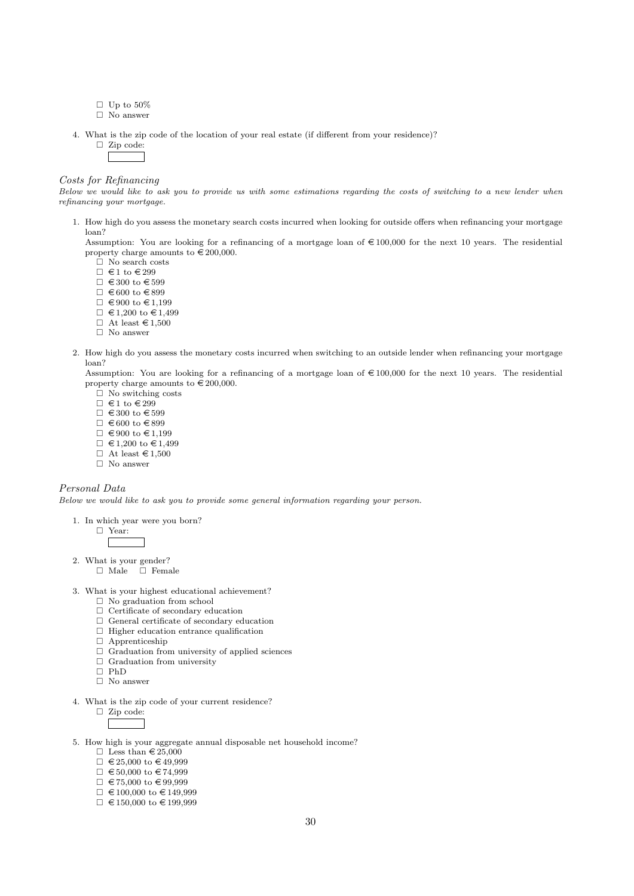- $\Box$  Up to 50%
- □ No answer
- 4. What is the zip code of the location of your real estate (if different from your residence)?
	- $\Box\,$  Zip code:  $\Box$

## Costs for Refinancing

Below we would like to ask you to provide us with some estimations regarding the costs of switching to a new lender when refinancing your mortgage.

1. How high do you assess the monetary search costs incurred when looking for outside offers when refinancing your mortgage loan?

Assumption: You are looking for a refinancing of a mortgage loan of  $\epsilon$  100,000 for the next 10 years. The residential property charge amounts to  $\in 200,\!000.$ 

- $\Box$  No search costs
- $\Box \in 1$  to  $\in 299$
- $\Box \in 300$  to  $\in 599$
- $\Box \in 600$  to  $\in 899$
- $\Box \in 900$  to  $\in 1,199$
- $\Box \in 1,200$  to  $\in 1,499$
- $\Box$  At least  $\in 1,500$
- $\hfill\Box\;$  No answer
- 2. How high do you assess the monetary costs incurred when switching to an outside lender when refinancing your mortgage loan?

Assumption: You are looking for a refinancing of a mortgage loan of  $\epsilon$  100,000 for the next 10 years. The residential property charge amounts to  $\in$  200,000.

- $\Box$  No switching costs
- $\Box \in 1$  to  $\in 299$
- $\Box~\in 300$  to  $\in 599$
- $\Box \in 600$  to  $\in 899$
- $\Box \in 900$  to  $\in 1,199$
- $\Box \in 1,200$  to  $\in 1,499$
- $\Box$  At least  $\in 1,500$
- No answer

# Personal Data

Below we would like to ask you to provide some general information regarding your person.

1. In which year were you born?

Year:

- 2. What is your gender?  $\Box$  Male  $\Box$  Female
- 3. What is your highest educational achievement?
	- $\Box$  No graduation from school
	- $\hfill\Box$  <br> Certificate of secondary education
	- $\Box$  <br> General certificate of secondary education
	- $\hfill\Box$  Higher education entrance qualification
	- Apprenticeship
	- $\Box$  Graduation from university of applied sciences
	- $\hfill\Box$ <br> <br> Graduation from university
	- PhD
	- $\Box$  No answer
- 4. What is the zip code of your current residence?

| ۰ | <br>۰, |
|---|--------|
|   |        |

- 5. How high is your aggregate annual disposable net household income?
	- $\Box$  Less than  $\in$  25,000
	- $\Box \in 25,000$  to  $\in 49,999$
	- $□ \in 50,000$  to €74,999
	- $\Box \in 75,000$  to  $\in 99,999$
	- $\Box \in 100,000$  to  $\in 149,999$
	- $\Box \in 150,000$  to  $\in 199,999$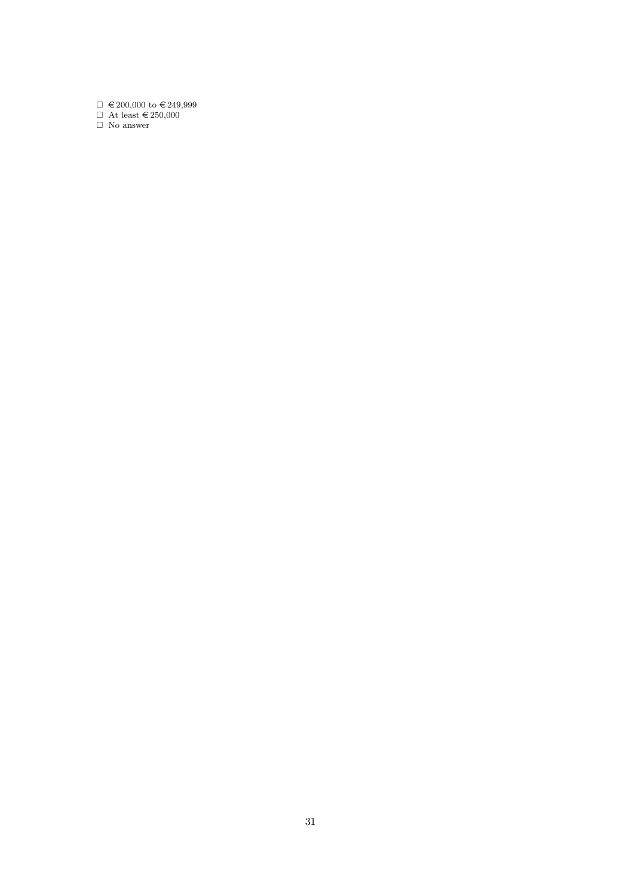$\Box \in 200,000$  to  $\in 249,999$ 

 $\Box$  At least  $\in$  250,000

 $\Box$  No answer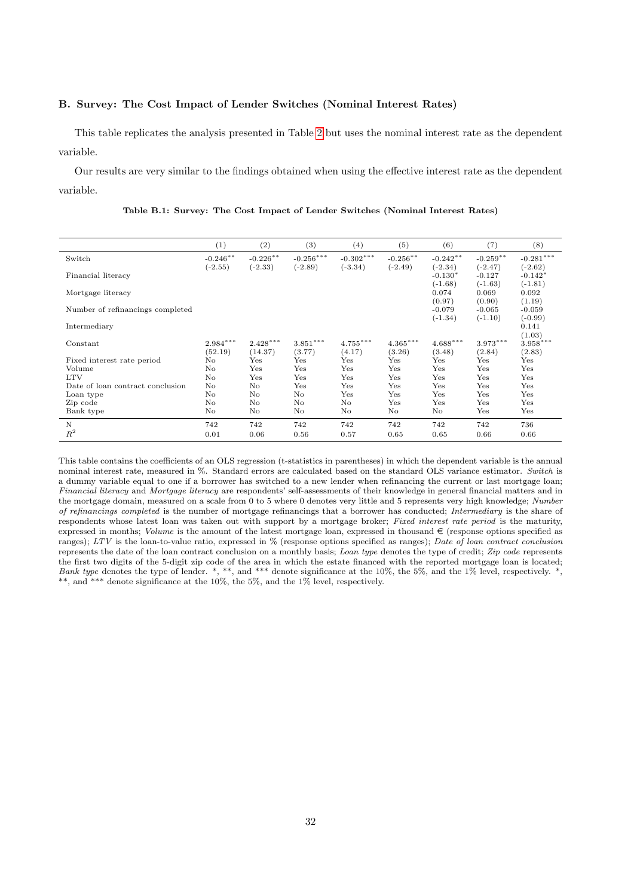## <span id="page-31-0"></span>B. Survey: The Cost Impact of Lender Switches (Nominal Interest Rates)

This table replicates the analysis presented in Table [2](#page-11-0) but uses the nominal interest rate as the dependent variable.

Our results are very similar to the findings obtained when using the effective interest rate as the dependent variable.

|                                  | $\left  \right $        | (2)                      | (3)                      | $\left(4\right)$         | (5)                      | (6)                     | (7)                     | (8)                      |
|----------------------------------|-------------------------|--------------------------|--------------------------|--------------------------|--------------------------|-------------------------|-------------------------|--------------------------|
| Switch                           | $-0.246**$<br>$(-2.55)$ | $-0.226$ **<br>$(-2.33)$ | $-0.256***$<br>$(-2.89)$ | $-0.302***$<br>$(-3.34)$ | $-0.256***$<br>$(-2.49)$ | $-0.242**$<br>$(-2.34)$ | $-0.259**$<br>$(-2.47)$ | $-0.281***$<br>$(-2.62)$ |
| Financial literacy               |                         |                          |                          |                          |                          | $-0.130*$<br>$(-1.68)$  | $-0.127$<br>$(-1.63)$   | $-0.142*$<br>$(-1.81)$   |
| Mortgage literacy                |                         |                          |                          |                          |                          | 0.074<br>(0.97)         | 0.069                   | 0.092                    |
| Number of refinancings completed |                         |                          |                          |                          |                          | $-0.079$                | (0.90)<br>$-0.065$      | (1.19)<br>$-0.059$       |

Number of refinancings completed  $\begin{array}{ccc} -0.079 & -0.065 & -0.059 \\ (-1.34) & (-1.10) & (-0.99) \end{array}$ 

Intermediary 0.141

Fixed interest rate period  $\begin{array}{cccc}\nN_O & \gamma_{\rm es} & \gamma_{\rm es} & \gamma_{\rm es} & \gamma_{\rm es} & \gamma_{\rm es} & \gamma_{\rm es} & \gamma_{\rm es} & \gamma_{\rm es} & \gamma_{\rm es} & \gamma_{\rm es} & \gamma_{\rm es} & \gamma_{\rm es} & \gamma_{\rm es} & \gamma_{\rm es} & \gamma_{\rm es} & \gamma_{\rm es} & \gamma_{\rm es} & \gamma_{\rm es} & \gamma_{\rm es} & \gamma_{\rm es} & \gamma_{\rm es} & \gamma_{\rm es} & \gamma_{\rm es}$ Volume No Yes Yes Yes Yes Yes Yes Yes LTV No Yes Yes Yes Yes Yes Yes Yes Date of loan contract conclusion No No Yes Yes Yes Yes Yes Yes Loan type No No No Yes Yes Yes Yes Yes Zip code No No No No Yes Yes Yes Yes Bank type No No No No No No Yes Yes N 742 742 742 742 742 742 742 736

 $R^2$ 

Constant 2.984∗∗∗ 2.428∗∗∗ 3.851∗∗∗ 4.755∗∗∗ 4.365∗∗∗ 4.688∗∗∗ 3.973∗∗∗ 3.958∗∗∗

(52.19) (14.37) (3.77) (4.17) (3.26) (3.48) (2.84) (2.83)

0.01 0.06 0.56 0.57 0.65 0.65 0.66 0.66

 $(-1.34)$   $(-1.10)$   $(-0.99)$ 

 $(1.03)$ <br> $3.958*$ 

| Table B.1: Survey: The Cost Impact of Lender Switches (Nominal Interest Rates) |
|--------------------------------------------------------------------------------|
|--------------------------------------------------------------------------------|

This table contains the coefficients of an OLS regression (t-statistics in parentheses) in which the dependent variable is the annual nominal interest rate, measured in %. Standard errors are calculated based on the standard OLS variance estimator. Switch is a dummy variable equal to one if a borrower has switched to a new lender when refinancing the current or last mortgage loan; Financial literacy and Mortgage literacy are respondents' self-assessments of their knowledge in general financial matters and in the mortgage domain, measured on a scale from 0 to 5 where 0 denotes very little and 5 represents very high knowledge; Number of refinancings completed is the number of mortgage refinancings that a borrower has conducted; Intermediary is the share of respondents whose latest loan was taken out with support by a mortgage broker; Fixed interest rate period is the maturity, expressed in months; Volume is the amount of the latest mortgage loan, expressed in thousand  $\epsilon$  (response options specified as ranges); LTV is the loan-to-value ratio, expressed in % (response options specified as ranges); Date of loan contract conclusion represents the date of the loan contract conclusion on a monthly basis; Loan type denotes the type of credit; Zip code represents the first two digits of the 5-digit zip code of the area in which the estate financed with the reported mortgage loan is located; Bank type denotes the type of lender. \*, \*\*, and \*\*\* denote significance at the 10%, the 5%, and the 1% level, respectively. \*, \*\*, and \*\*\* denote significance at the 10%, the 5%, and the 1% level, respectively.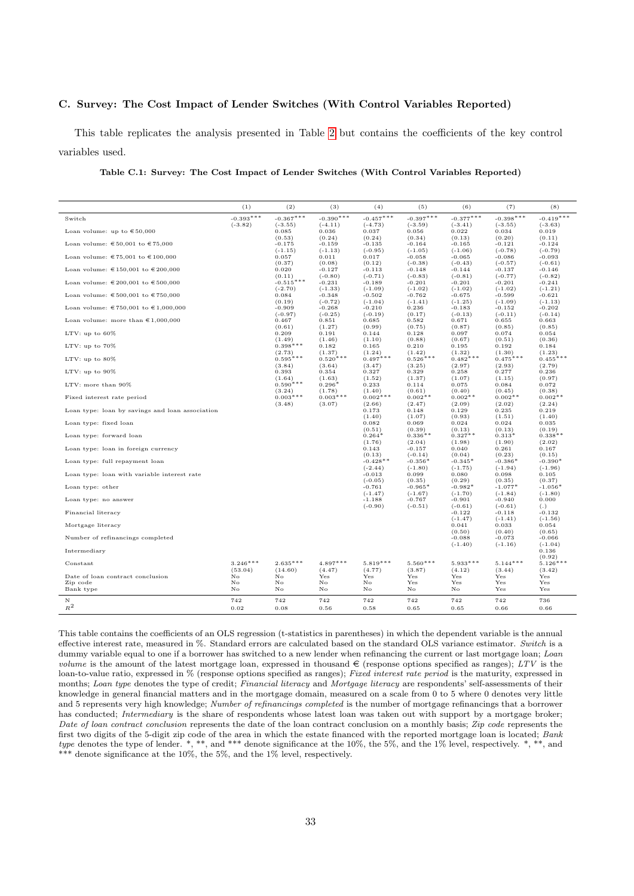#### <span id="page-32-0"></span>C. Survey: The Cost Impact of Lender Switches (With Control Variables Reported)

This table replicates the analysis presented in Table [2](#page-11-0) but contains the coefficients of the key control variables used.

|  |  | Table C.1: Survey: The Cost Impact of Lender Switches (With Control Variables Reported) |  |
|--|--|-----------------------------------------------------------------------------------------|--|
|--|--|-----------------------------------------------------------------------------------------|--|

|                                                 | (1)           | (2)                       | (3)                   | (4)                   | (5)                   | (6)                   | (7)                   | (8)                   |
|-------------------------------------------------|---------------|---------------------------|-----------------------|-----------------------|-----------------------|-----------------------|-----------------------|-----------------------|
| Switch                                          | $-0.393***$   | $-0.367***$               | $-0.390***$           | $-0.457***$           | $-0.397***$           | $-0.377***$           | $-0.398***$           | $-0.419***$           |
|                                                 | $(-3.82)$     | $(-3.55)$                 | $(-4.11)$             | $(-4.73)$             | $(-3.59)$             | $(-3.41)$             | $(-3.55)$             | $(-3.63)$             |
| Loan volume: up to $\in 50,000$                 |               | 0.085<br>(0.53)           | 0.036<br>(0.24)       | 0.037<br>(0.24)       | 0.056<br>(0.34)       | 0.022<br>(0.13)       | 0.034<br>(0.20)       | 0.019<br>(0.11)       |
| Loan volume: $\in 50,001$ to $\in 75,000$       |               | $-0.175$                  | $-0.159$              | $-0.135$              | $-0.164$              | $-0.165$              | $-0.121$              | $-0.124$              |
|                                                 |               | $(-1.15)$                 | $(-1.13)$             | $(-0.95)$             | $(-1.05)$             | $(-1.06)$             | $(-0.78)$             | $(-0.79)$             |
| Loan volume: $\in 75,001$ to $\in 100,000$      |               | 0.057<br>(0.37)           | 0.011<br>(0.08)       | 0.017<br>(0.12)       | $-0.058$<br>$(-0.38)$ | $-0.065$<br>$(-0.43)$ | $-0.086$<br>$(-0.57)$ | $-0.093$<br>$(-0.61)$ |
| Loan volume: $\in 150,001$ to $\in 200,000$     |               | 0.020                     | $-0.127$              | $-0.113$              | $-0.148$              | $-0.144$              | $-0.137$              | $-0.146$              |
|                                                 |               | (0.11)                    | $(-0.80)$             | $(-0.71)$             | $(-0.83)$             | $(-0.81)$             | $(-0.77)$             | $(-0.82)$             |
| Loan volume: €200,001 to €500,000               |               | $-0.512$ ***<br>$(-2.70)$ | $-0.231$<br>$(-1.33)$ | $-0.189$<br>$(-1.09)$ | $-0.201$<br>$(-1.02)$ | $-0.201$<br>$(-1.02)$ | $-0.201$<br>$(-1.02)$ | $-0.241$<br>$(-1.21)$ |
| Loan volume: €500,001 to €750,000               |               | 0.084                     | $-0.348$              | $-0.502$              | $-0.762$              | $-0.675$              | $-0.599$              | $-0.621$              |
|                                                 |               | (0.19)                    | $(-0.72)$             | $(-1.04)$             | $(-1.41)$             | $(-1.25)$             | $(-1.09)$             | $(-1.13)$             |
| Loan volume: €750,001 to €1,000,000             |               | $-0.909$<br>$(-0.97)$     | $-0.268$<br>$(-0.25)$ | $-0.210$<br>$(-0.19)$ | 0.236<br>(0.17)       | $-0.183$<br>$(-0.13)$ | $-0.152$<br>$(-0.11)$ | $-0.202$<br>$(-0.14)$ |
| Loan volume: more than $\in 1,000,000$          |               | 0.467                     | 0.851                 | 0.685                 | 0.582                 | 0.671                 | 0.655                 | 0.663                 |
|                                                 |               | (0.61)                    | (1.27)                | (0.99)                | (0.75)                | (0.87)                | (0.85)                | (0.85)                |
| LTV: up to $60\%$                               |               | 0.209<br>(1.49)           | 0.191<br>(1.46)       | 0.144<br>(1.10)       | 0.128<br>(0.88)       | 0.097<br>(0.67)       | 0.074<br>(0.51)       | 0.054<br>(0.36)       |
| LTV: up to 70%                                  |               | $0.398***$                | 0.182                 | 0.165                 | 0.210                 | 0.195                 | 0.192                 | 0.184                 |
|                                                 |               | (2.73)                    | (1.37)                | (1.24)                | (1.42)                | (1.32)                | (1.30)                | (1.23)                |
| LTV: up to $80\%$                               |               | $0.595***$                | $0.520***$<br>(3.64)  | $0.497***$<br>(3.47)  | $0.526***$<br>(3.25)  | $0.482***$<br>(2.97)  | $0.475***$<br>(2.93)  | $0.455***$<br>(2.79)  |
| LTV: up to $90\%$                               |               | (3.84)<br>0.393           | 0.354                 | 0.327                 | 0.329                 | 0.258                 | 0.277                 | 0.236                 |
|                                                 |               | (1.64)                    | (1.63)                | (1.52)                | (1.37)                | (1.07)                | (1.15)                | (0.97)                |
| LTV: more than $90\%$                           |               | $0.590***$                | $0.296*$              | 0.233                 | 0.114                 | 0.075                 | 0.084                 | 0.072                 |
| Fixed interest rate period                      |               | (3.24)<br>$0.003***$      | (1.78)<br>$0.003***$  | (1.40)<br>$0.002***$  | (0.61)<br>$0.002**$   | (0.40)<br>$0.002**$   | (0.45)<br>$0.002**$   | (0.38)<br>$0.002**$   |
|                                                 |               | (3.48)                    | (3.07)                | (2.66)                | (2.47)                | (2.09)                | (2.02)                | (2.24)                |
| Loan type: loan by savings and loan association |               |                           |                       | 0.173                 | 0.148                 | 0.129                 | 0.235                 | 0.219                 |
| Loan type: fixed loan                           |               |                           |                       | (1.40)<br>0.082       | (1.07)<br>0.069       | (0.93)<br>0.024       | (1.51)<br>0.024       | (1.40)<br>0.035       |
|                                                 |               |                           |                       | (0.51)                | (0.39)                | (0.13)                | (0.13)                | (0.19)                |
| Loan type: forward loan                         |               |                           |                       | $0.264*$              | $0.336**$             | $0.327**$             | $0.313*$              | $0.338**$             |
| Loan type: loan in foreign currency             |               |                           |                       | (1.76)<br>0.143       | (2.04)<br>$-0.157$    | (1.98)<br>0.040       | (1.90)<br>0.261       | (2.02)<br>0.167       |
|                                                 |               |                           |                       | (0.13)                | $(-0.14)$             | (0.04)                | (0.23)                | (0.15)                |
| Loan type: full repayment loan                  |               |                           |                       | $-0.428**$            | $-0.356$ <sup>*</sup> | $-0.345*$             | $-0.386*$             | $-0.390*$             |
| Loan type: loan with variable interest rate     |               |                           |                       | $(-2.44)$<br>$-0.013$ | $(-1.80)$<br>0.099    | $(-1.75)$<br>0.080    | $(-1.94)$<br>0.098    | $(-1.96)$<br>0.105    |
|                                                 |               |                           |                       | $(-0.05)$             | (0.35)                | (0.29)                | (0.35)                | (0.37)                |
| Loan type: other                                |               |                           |                       | $-0.761$              | $-0.965*$             | $-0.982*$             | $-1.077*$             | $-1.056$ <sup>*</sup> |
| Loan type: no answer                            |               |                           |                       | $(-1.47)$<br>$-1.188$ | $(-1.67)$<br>$-0.767$ | $(-1.70)$<br>$-0.901$ | $(-1.84)$<br>$-0.940$ | $(-1.80)$<br>0.000    |
|                                                 |               |                           |                       | $(-0.90)$             | $(-0.51)$             | $(-0.61)$             | $(-0.61)$             | (.)                   |
| Financial literacy                              |               |                           |                       |                       |                       | $-0.122$              | $-0.118$              | $-0.132$              |
| Mortgage literacy                               |               |                           |                       |                       |                       | $(-1.47)$<br>0.041    | $(-1.41)$<br>0.033    | $(-1.56)$<br>0.054    |
|                                                 |               |                           |                       |                       |                       | (0.50)                | (0.40)                | (0.65)                |
| Number of refinancings completed                |               |                           |                       |                       |                       | $-0.088$              | $-0.073$              | $-0.066$              |
| Intermediary                                    |               |                           |                       |                       |                       | $(-1.40)$             | $(-1.16)$             | $(-1.04)$             |
|                                                 |               |                           |                       |                       |                       |                       |                       | 0.136<br>(0.92)       |
| Constant                                        | $3.246***$    | $2.635***$                | $4.897***$            | $5.819***$            | $5.560***$            | $5.933***$            | $5.144***$            | $5.126***$            |
|                                                 | (53.04)<br>No | (14.60)                   | (4.47)                | (4.77)                | (3.87)                | (4.12)                | (3.44)                | (3.42)                |
| Date of loan contract conclusion<br>Zip code    | No            | No<br>No                  | $_{\rm Yes}$<br>No    | Yes<br>No             | Yes<br>Yes            | Yes<br>Yes            | Yes<br>Yes            | Yes<br>Yes            |
| Bank type                                       | No            | No                        | No                    | No                    | No                    | No                    | Yes                   | Yes                   |
| Ν                                               | 742           | 742                       | 742                   | 742                   | 742                   | 742                   | 742                   | 736                   |
| $R^2$                                           | 0.02          | 0.08                      | 0.56                  | 0.58                  | 0.65                  | 0.65                  | 0.66                  | 0.66                  |
|                                                 |               |                           |                       |                       |                       |                       |                       |                       |

This table contains the coefficients of an OLS regression (t-statistics in parentheses) in which the dependent variable is the annual effective interest rate, measured in %. Standard errors are calculated based on the standard OLS variance estimator. Switch is a dummy variable equal to one if a borrower has switched to a new lender when refinancing the current or last mortgage loan; Loan volume is the amount of the latest mortgage loan, expressed in thousand  $\in$  (response options specified as ranges); LTV is the loan-to-value ratio, expressed in % (response options specified as ranges); Fixed interest rate period is the maturity, expressed in months; Loan type denotes the type of credit; Financial literacy and Mortgage literacy are respondents' self-assessments of their knowledge in general financial matters and in the mortgage domain, measured on a scale from 0 to 5 where 0 denotes very little and 5 represents very high knowledge; Number of refinancings completed is the number of mortgage refinancings that a borrower has conducted; Intermediary is the share of respondents whose latest loan was taken out with support by a mortgage broker; Date of loan contract conclusion represents the date of the loan contract conclusion on a monthly basis; Zip code represents the first two digits of the 5-digit zip code of the area in which the estate financed with the reported mortgage loan is located; Bank type denotes the type of lender. \*, \*\*, and \*\*\* denote significance at the 10%, the 5%, and the 1% level, respectively. \*, \*\*, and \*\*\* denote significance at the 10%, the 5%, and the 1% level, respectively.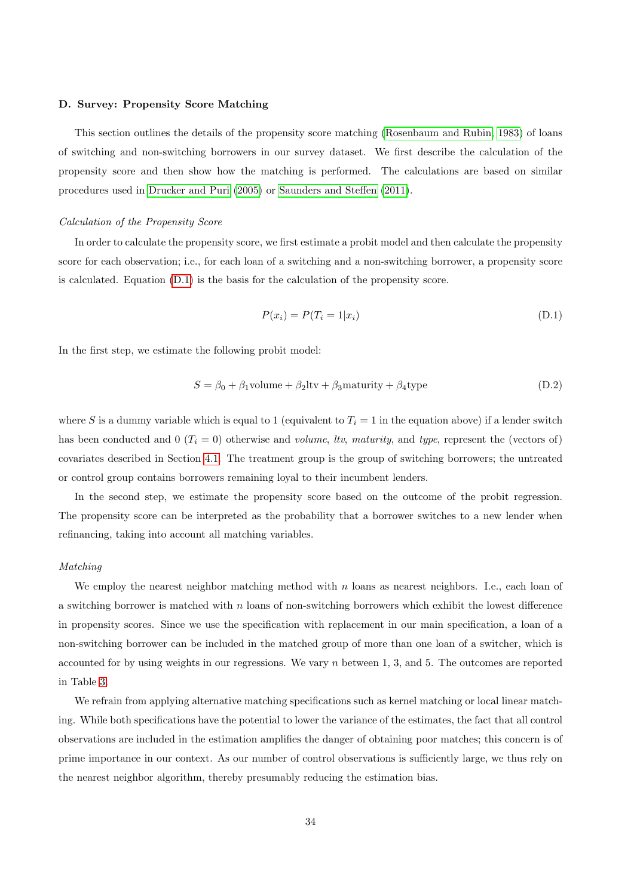## <span id="page-33-0"></span>D. Survey: Propensity Score Matching

This section outlines the details of the propensity score matching [\(Rosenbaum and Rubin, 1983\)](#page-25-20) of loans of switching and non-switching borrowers in our survey dataset. We first describe the calculation of the propensity score and then show how the matching is performed. The calculations are based on similar procedures used in [Drucker and Puri](#page-25-39) [\(2005\)](#page-25-39) or [Saunders and Steffen](#page-25-40) [\(2011\)](#page-25-40).

## Calculation of the Propensity Score

In order to calculate the propensity score, we first estimate a probit model and then calculate the propensity score for each observation; i.e., for each loan of a switching and a non-switching borrower, a propensity score is calculated. Equation [\(D.1\)](#page-33-1) is the basis for the calculation of the propensity score.

<span id="page-33-1"></span>
$$
P(x_i) = P(T_i = 1|x_i) \tag{D.1}
$$

In the first step, we estimate the following probit model:

$$
S = \beta_0 + \beta_1 \text{volume} + \beta_2 \text{ltv} + \beta_3 \text{maturity} + \beta_4 \text{type}
$$
 (D.2)

where S is a dummy variable which is equal to 1 (equivalent to  $T_i = 1$  in the equation above) if a lender switch has been conducted and 0 ( $T_i = 0$ ) otherwise and *volume, ltv, maturity,* and *type,* represent the (vectors of) covariates described in Section [4.1.](#page-6-2) The treatment group is the group of switching borrowers; the untreated or control group contains borrowers remaining loyal to their incumbent lenders.

In the second step, we estimate the propensity score based on the outcome of the probit regression. The propensity score can be interpreted as the probability that a borrower switches to a new lender when refinancing, taking into account all matching variables.

#### Matching

We employ the nearest neighbor matching method with  $n$  loans as nearest neighbors. I.e., each loan of a switching borrower is matched with  $n$  loans of non-switching borrowers which exhibit the lowest difference in propensity scores. Since we use the specification with replacement in our main specification, a loan of a non-switching borrower can be included in the matched group of more than one loan of a switcher, which is accounted for by using weights in our regressions. We vary  $n$  between 1, 3, and 5. The outcomes are reported in Table [3.](#page-12-1)

We refrain from applying alternative matching specifications such as kernel matching or local linear matching. While both specifications have the potential to lower the variance of the estimates, the fact that all control observations are included in the estimation amplifies the danger of obtaining poor matches; this concern is of prime importance in our context. As our number of control observations is sufficiently large, we thus rely on the nearest neighbor algorithm, thereby presumably reducing the estimation bias.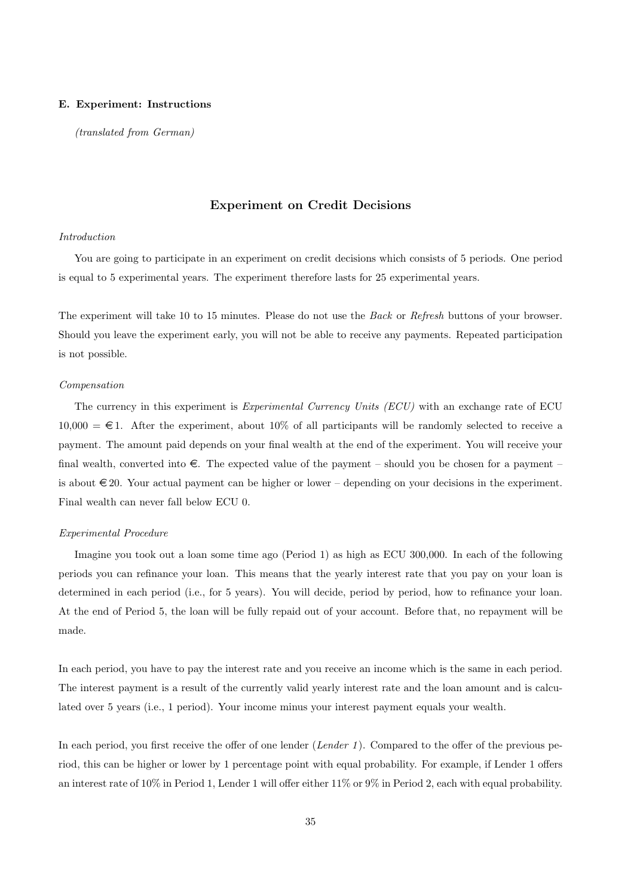## <span id="page-34-0"></span>E. Experiment: Instructions

(translated from German)

# Experiment on Credit Decisions

#### Introduction

You are going to participate in an experiment on credit decisions which consists of 5 periods. One period is equal to 5 experimental years. The experiment therefore lasts for 25 experimental years.

The experiment will take 10 to 15 minutes. Please do not use the Back or Refresh buttons of your browser. Should you leave the experiment early, you will not be able to receive any payments. Repeated participation is not possible.

#### Compensation

The currency in this experiment is Experimental Currency Units (ECU) with an exchange rate of ECU  $10,000 = \epsilon$ 1. After the experiment, about 10% of all participants will be randomly selected to receive a payment. The amount paid depends on your final wealth at the end of the experiment. You will receive your final wealth, converted into  $\epsilon$ . The expected value of the payment – should you be chosen for a payment – is about  $\in 20$ . Your actual payment can be higher or lower – depending on your decisions in the experiment. Final wealth can never fall below ECU 0.

#### Experimental Procedure

Imagine you took out a loan some time ago (Period 1) as high as ECU 300,000. In each of the following periods you can refinance your loan. This means that the yearly interest rate that you pay on your loan is determined in each period (i.e., for 5 years). You will decide, period by period, how to refinance your loan. At the end of Period 5, the loan will be fully repaid out of your account. Before that, no repayment will be made.

In each period, you have to pay the interest rate and you receive an income which is the same in each period. The interest payment is a result of the currently valid yearly interest rate and the loan amount and is calculated over 5 years (i.e., 1 period). Your income minus your interest payment equals your wealth.

In each period, you first receive the offer of one lender  $(Lender 1)$ . Compared to the offer of the previous period, this can be higher or lower by 1 percentage point with equal probability. For example, if Lender 1 offers an interest rate of 10% in Period 1, Lender 1 will offer either 11% or 9% in Period 2, each with equal probability.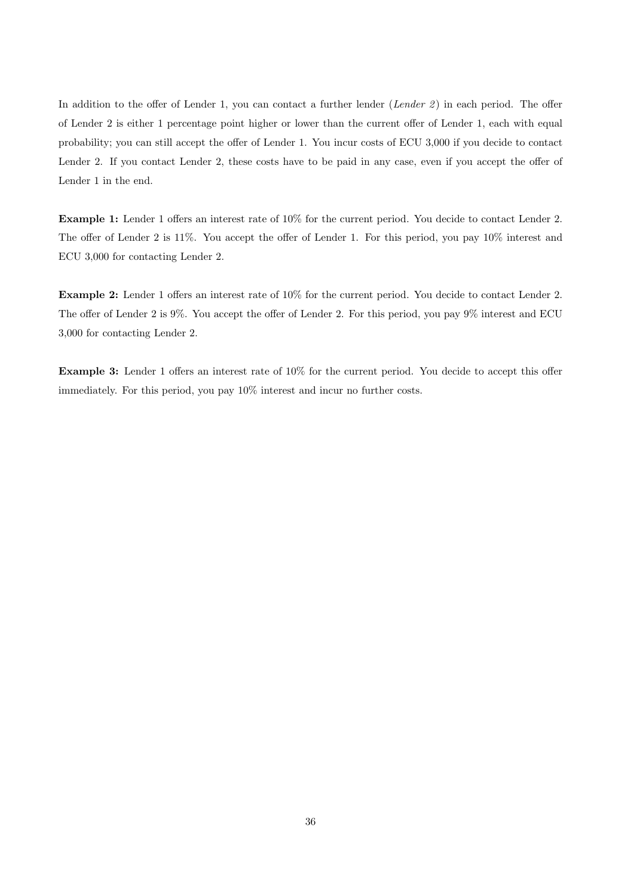In addition to the offer of Lender 1, you can contact a further lender (Lender 2) in each period. The offer of Lender 2 is either 1 percentage point higher or lower than the current offer of Lender 1, each with equal probability; you can still accept the offer of Lender 1. You incur costs of ECU 3,000 if you decide to contact Lender 2. If you contact Lender 2, these costs have to be paid in any case, even if you accept the offer of Lender 1 in the end.

Example 1: Lender 1 offers an interest rate of 10% for the current period. You decide to contact Lender 2. The offer of Lender 2 is 11%. You accept the offer of Lender 1. For this period, you pay 10% interest and ECU 3,000 for contacting Lender 2.

Example 2: Lender 1 offers an interest rate of 10% for the current period. You decide to contact Lender 2. The offer of Lender 2 is 9%. You accept the offer of Lender 2. For this period, you pay 9% interest and ECU 3,000 for contacting Lender 2.

Example 3: Lender 1 offers an interest rate of 10% for the current period. You decide to accept this offer immediately. For this period, you pay 10% interest and incur no further costs.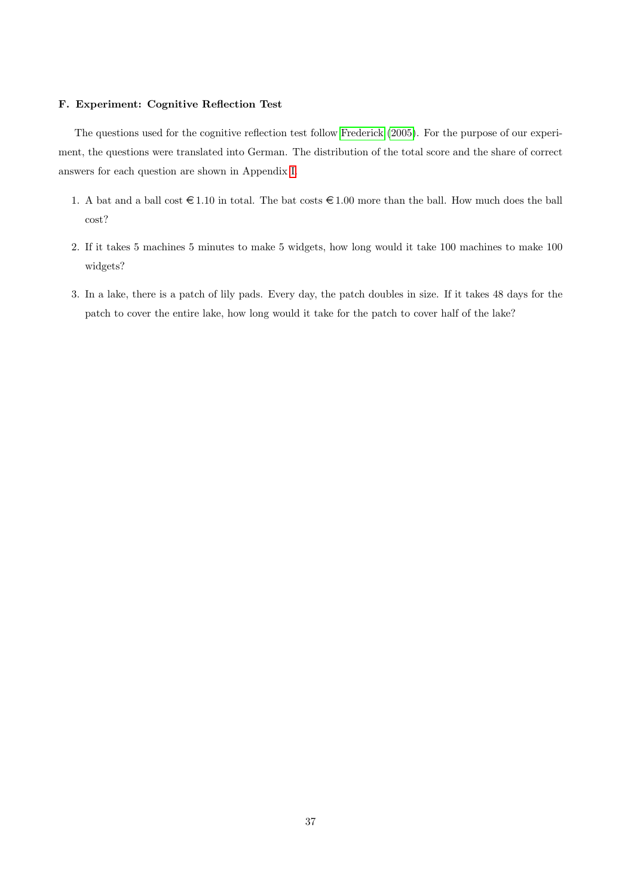# <span id="page-36-0"></span>F. Experiment: Cognitive Reflection Test

The questions used for the cognitive reflection test follow [Frederick](#page-25-26) [\(2005\)](#page-25-26). For the purpose of our experiment, the questions were translated into German. The distribution of the total score and the share of correct answers for each question are shown in Appendix [I.](#page-39-0)

- 1. A bat and a ball cost  $\in 1.10$  in total. The bat costs  $\in 1.00$  more than the ball. How much does the ball cost?
- 2. If it takes 5 machines 5 minutes to make 5 widgets, how long would it take 100 machines to make 100 widgets?
- 3. In a lake, there is a patch of lily pads. Every day, the patch doubles in size. If it takes 48 days for the patch to cover the entire lake, how long would it take for the patch to cover half of the lake?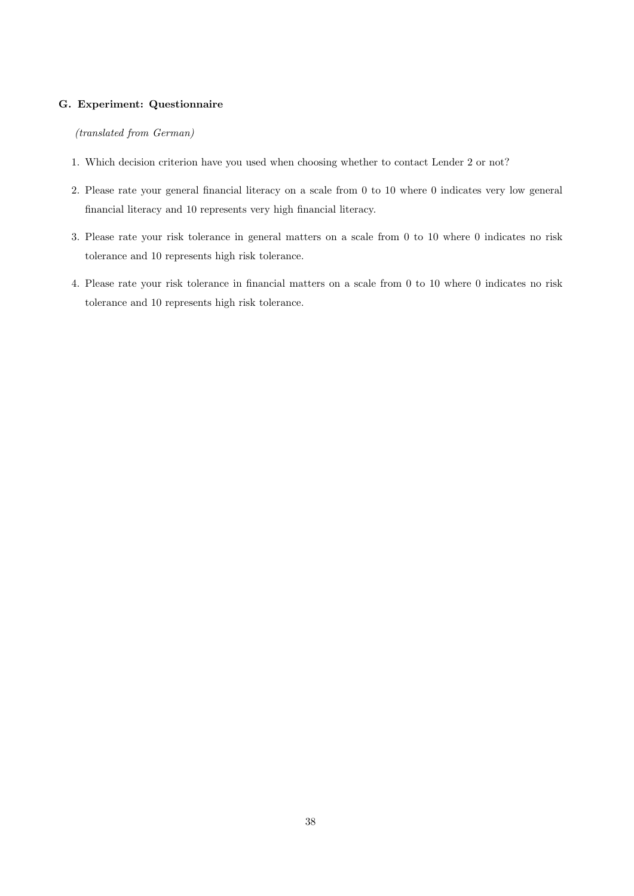# <span id="page-37-0"></span>G. Experiment: Questionnaire

# (translated from German)

- 1. Which decision criterion have you used when choosing whether to contact Lender 2 or not?
- 2. Please rate your general financial literacy on a scale from 0 to 10 where 0 indicates very low general financial literacy and 10 represents very high financial literacy.
- 3. Please rate your risk tolerance in general matters on a scale from 0 to 10 where 0 indicates no risk tolerance and 10 represents high risk tolerance.
- 4. Please rate your risk tolerance in financial matters on a scale from 0 to 10 where 0 indicates no risk tolerance and 10 represents high risk tolerance.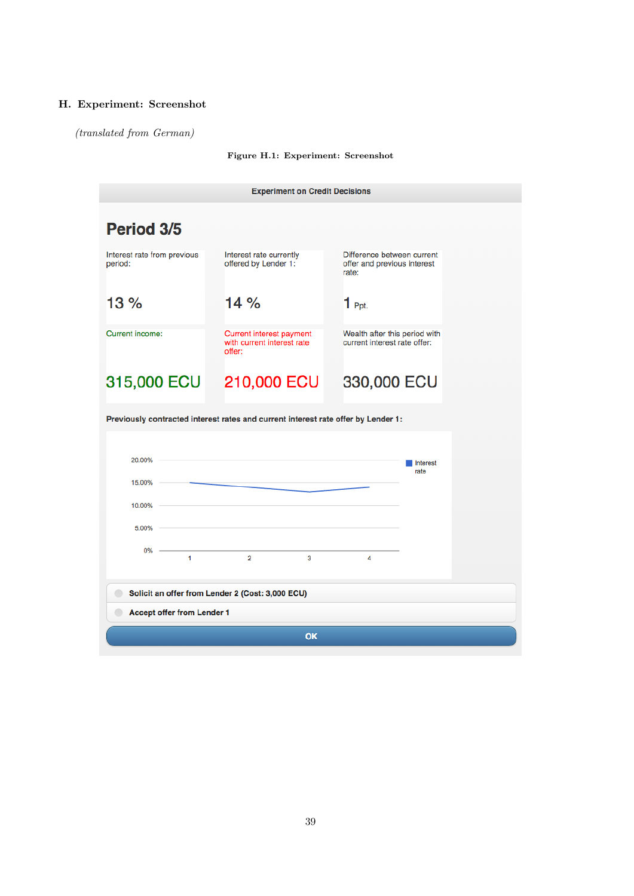# <span id="page-38-0"></span>H. Experiment: Screenshot

(translated from German)

Figure H.1: Experiment: Screenshot

| <b>Experiment on Credit Decisions</b>                                             |                                                                  |                                                                    |  |  |
|-----------------------------------------------------------------------------------|------------------------------------------------------------------|--------------------------------------------------------------------|--|--|
| Period 3/5                                                                        |                                                                  |                                                                    |  |  |
| Interest rate from previous<br>period:                                            | Interest rate currently<br>offered by Lender 1:                  | Difference between current<br>offer and previous interest<br>rate: |  |  |
| 13%                                                                               | 14 %                                                             | $1$ Ppt.                                                           |  |  |
| Current income:                                                                   | Current interest payment<br>with current interest rate<br>offer: | Wealth after this period with<br>current interest rate offer:      |  |  |
| 315,000 ECU                                                                       | 210,000 ECU                                                      | 330,000 ECU                                                        |  |  |
| Previously contracted interest rates and current interest rate offer by Lender 1: |                                                                  |                                                                    |  |  |
|                                                                                   |                                                                  |                                                                    |  |  |
| 20.00%                                                                            |                                                                  | Interest<br>rate                                                   |  |  |
| 15.00%                                                                            |                                                                  |                                                                    |  |  |
| 10.00%                                                                            |                                                                  |                                                                    |  |  |
| 5.00%                                                                             |                                                                  |                                                                    |  |  |
| 0%<br>1                                                                           | $\overline{2}$<br>3                                              | 4                                                                  |  |  |
| Solicit an offer from Lender 2 (Cost: 3,000 ECU)                                  |                                                                  |                                                                    |  |  |
| Accept offer from Lender 1                                                        |                                                                  |                                                                    |  |  |
| OK                                                                                |                                                                  |                                                                    |  |  |
|                                                                                   |                                                                  |                                                                    |  |  |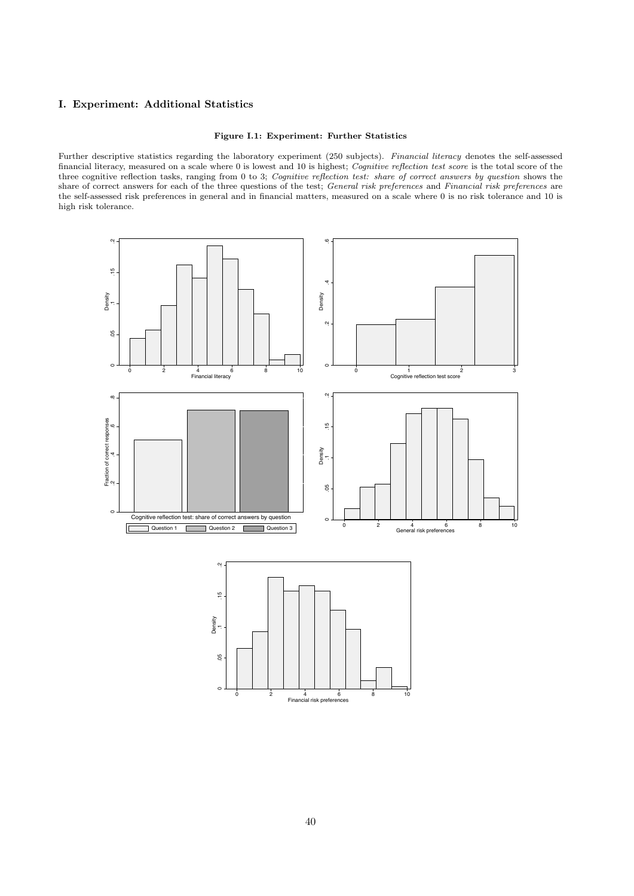# <span id="page-39-0"></span>I. Experiment: Additional Statistics

## Figure I.1: Experiment: Further Statistics

Further descriptive statistics regarding the laboratory experiment (250 subjects). Financial literacy denotes the self-assessed financial literacy, measured on a scale where 0 is lowest and 10 is highest; Cognitive reflection test score is the total score of the three cognitive reflection tasks, ranging from 0 to 3; Cognitive reflection test: share of correct answers by question shows the share of correct answers for each of the three questions of the test; General risk preferences and Financial risk preferences are the self-assessed risk preferences in general and in financial matters, measured on a scale where 0 is no risk tolerance and 10 is high risk tolerance.

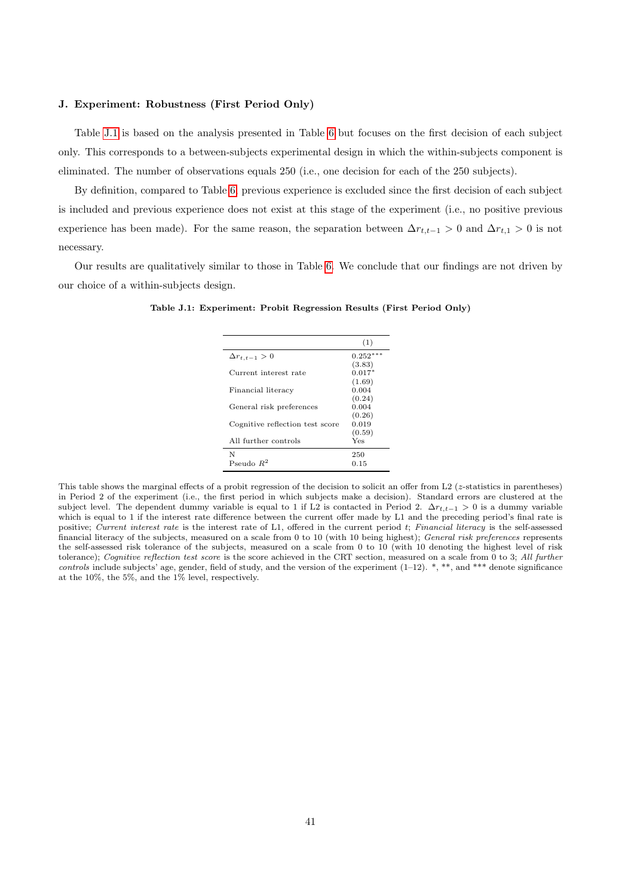#### <span id="page-40-0"></span>J. Experiment: Robustness (First Period Only)

Table [J.1](#page-40-1) is based on the analysis presented in Table [6](#page-20-1) but focuses on the first decision of each subject only. This corresponds to a between-subjects experimental design in which the within-subjects component is eliminated. The number of observations equals 250 (i.e., one decision for each of the 250 subjects).

By definition, compared to Table [6,](#page-20-1) previous experience is excluded since the first decision of each subject is included and previous experience does not exist at this stage of the experiment (i.e., no positive previous experience has been made). For the same reason, the separation between  $\Delta r_{t,t-1} > 0$  and  $\Delta r_{t,1} > 0$  is not necessary.

<span id="page-40-1"></span>Our results are qualitatively similar to those in Table [6.](#page-20-1) We conclude that our findings are not driven by our choice of a within-subjects design.

|                                 | (1)                  |
|---------------------------------|----------------------|
| $\Delta r_{t,t-1} > 0$          | $0.252$ <sup>*</sup> |
| Current interest rate           | (3.83)<br>$0.017*$   |
| Financial literacy              | (1.69)<br>0.004      |
| General risk preferences        | (0.24)<br>0.004      |
|                                 | (0.26)               |
| Cognitive reflection test score | 0.019<br>(0.59)      |
| All further controls            | Yes                  |
| N                               | 250                  |
| Pseudo $R^2$                    | 0.15                 |

Table J.1: Experiment: Probit Regression Results (First Period Only)

This table shows the marginal effects of a probit regression of the decision to solicit an offer from L2 (z-statistics in parentheses) in Period 2 of the experiment (i.e., the first period in which subjects make a decision). Standard errors are clustered at the subject level. The dependent dummy variable is equal to 1 if L2 is contacted in Period 2.  $\Delta r_{t,t-1} > 0$  is a dummy variable which is equal to 1 if the interest rate difference between the current offer made by L1 and the preceding period's final rate is positive; Current interest rate is the interest rate of L1, offered in the current period t; Financial literacy is the self-assessed financial literacy of the subjects, measured on a scale from 0 to 10 (with 10 being highest); General risk preferences represents the self-assessed risk tolerance of the subjects, measured on a scale from 0 to 10 (with 10 denoting the highest level of risk tolerance); Cognitive reflection test score is the score achieved in the CRT section, measured on a scale from 0 to 3; All further controls include subjects' age, gender, field of study, and the version of the experiment  $(1-12)$ . \*, \*\*, and \*\*\* denote significance at the 10%, the 5%, and the 1% level, respectively.